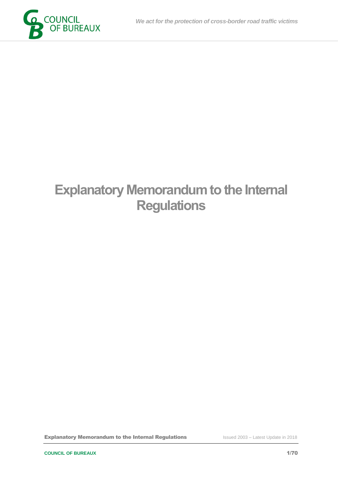

# **Explanatory Memorandum to the Internal Regulations**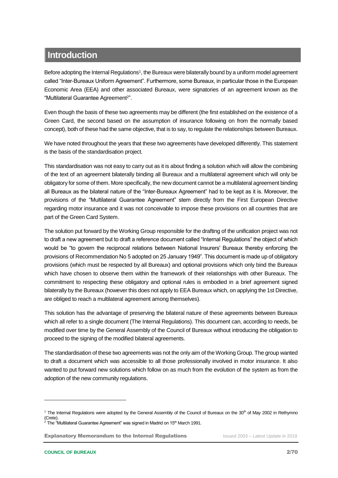### **Introduction**

Before adopting the Internal Regulations<sup>1</sup>, the Bureaux were bilaterally bound by a uniform model agreement called "Inter-Bureaux Uniform Agreement". Furthermore, some Bureaux, in particular those in the European Economic Area (EEA) and other associated Bureaux, were signatories of an agreement known as the "Multilateral Guarantee Agreement<sup>2</sup> ".

Even though the basis of these two agreements may be different (the first established on the existence of a Green Card, the second based on the assumption of insurance following on from the normally based concept), both of these had the same objective, that is to say, to regulate the relationships between Bureaux.

We have noted throughout the years that these two agreements have developed differently. This statement is the basis of the standardisation project.

This standardisation was not easy to carry out as it is about finding a solution which will allow the combining of the text of an agreement bilaterally binding all Bureaux and a multilateral agreement which will only be obligatory for some of them. More specifically, the new document cannot be a multilateral agreement binding all Bureaux as the bilateral nature of the "Inter-Bureaux Agreement" had to be kept as it is. Moreover, the provisions of the "Multilateral Guarantee Agreement" stem directly from the First European Directive regarding motor insurance and it was not conceivable to impose these provisions on all countries that are part of the Green Card System.

The solution put forward by the Working Group responsible for the drafting of the unification project was not to draft a new agreement but to draft a reference document called "Internal Regulations" the object of which would be "to govern the reciprocal relations between National Insurers' Bureaux thereby enforcing the provisions of Recommendation No 5 adopted on 25 January 1949". This document is made up of obligatory provisions (which must be respected by all Bureaux) and optional provisions which only bind the Bureaux which have chosen to observe them within the framework of their relationships with other Bureaux. The commitment to respecting these obligatory and optional rules is embodied in a brief agreement signed bilaterally by the Bureaux (however this does not apply to EEA Bureaux which, on applying the 1st Directive, are obliged to reach a multilateral agreement among themselves).

This solution has the advantage of preserving the bilateral nature of these agreements between Bureaux which all refer to a single document (The Internal Regulations). This document can, according to needs, be modified over time by the General Assembly of the Council of Bureaux without introducing the obligation to proceed to the signing of the modified bilateral agreements.

The standardisation of these two agreements was not the only aim of the Working Group. The group wanted to draft a document which was accessible to all those professionally involved in motor insurance. It also wanted to put forward new solutions which follow on as much from the evolution of the system as from the adoption of the new community regulations.

Explanatory Memorandum to the Internal RegulationsIssued 2003 – Latest Update in 2018

<sup>&</sup>lt;sup>1</sup> The Internal Regulations were adopted by the General Assembly of the Council of Bureaux on the  $30<sup>th</sup>$  of May 2002 in Rethymno (Crete).

<sup>2</sup> The "Multilateral Guarantee Agreement" was signed in Madrid on 15th March 1991.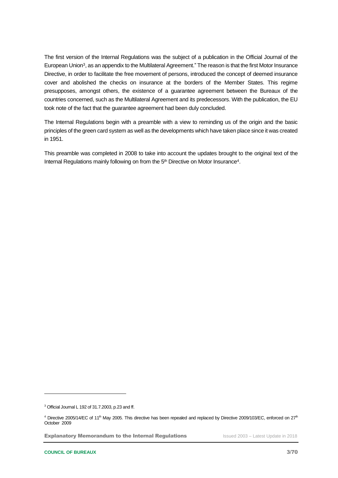The first version of the Internal Regulations was the subject of a publication in the Official Journal of the European Union<sup>3</sup>, as an appendix to the Multilateral Agreement." The reason is that the first Motor Insurance Directive, in order to facilitate the free movement of persons, introduced the concept of deemed insurance cover and abolished the checks on insurance at the borders of the Member States. This regime presupposes, amongst others, the existence of a guarantee agreement between the Bureaux of the countries concerned, such as the Multilateral Agreement and its predecessors. With the publication, the EU took note of the fact that the guarantee agreement had been duly concluded.

The Internal Regulations begin with a preamble with a view to reminding us of the origin and the basic principles of the green card system as well as the developments which have taken place since it was created in 1951.

This preamble was completed in 2008 to take into account the updates brought to the original text of the Internal Regulations mainly following on from the 5<sup>th</sup> Directive on Motor Insurance<sup>4</sup>.

**Explanatory Memorandum to the Internal Regulations ISSUED 18 ISSUED 15 2018** 

<sup>3</sup> Official Journal L 192 of 31.7.2003, p.23 and ff.

<sup>&</sup>lt;sup>4</sup> Directive 2005/14/EC of 11<sup>th</sup> May 2005. This directive has been repealed and replaced by Directive 2009/103/EC, enforced on 27<sup>th</sup> October 2009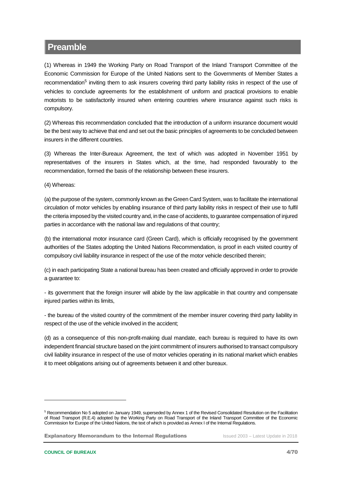### **Preamble**

(1) Whereas in 1949 the Working Party on Road Transport of the Inland Transport Committee of the Economic Commission for Europe of the United Nations sent to the Governments of Member States a recommendation<sup>5</sup> inviting them to ask insurers covering third party liability risks in respect of the use of vehicles to conclude agreements for the establishment of uniform and practical provisions to enable motorists to be satisfactorily insured when entering countries where insurance against such risks is compulsory.

(2) Whereas this recommendation concluded that the introduction of a uniform insurance document would be the best way to achieve that end and set out the basic principles of agreements to be concluded between insurers in the different countries.

(3) Whereas the Inter-Bureaux Agreement, the text of which was adopted in November 1951 by representatives of the insurers in States which, at the time, had responded favourably to the recommendation, formed the basis of the relationship between these insurers.

(4) Whereas:

(a) the purpose of the system, commonly known as the Green Card System, was to facilitate the international circulation of motor vehicles by enabling insurance of third party liability risks in respect of their use to fulfil the criteria imposed by the visited country and, in the case of accidents, to guarantee compensation of injured parties in accordance with the national law and regulations of that country;

(b) the international motor insurance card (Green Card), which is officially recognised by the government authorities of the States adopting the United Nations Recommendation, is proof in each visited country of compulsory civil liability insurance in respect of the use of the motor vehicle described therein;

(c) in each participating State a national bureau has been created and officially approved in order to provide a guarantee to:

- its government that the foreign insurer will abide by the law applicable in that country and compensate injured parties within its limits,

- the bureau of the visited country of the commitment of the member insurer covering third party liability in respect of the use of the vehicle involved in the accident;

(d) as a consequence of this non-profit-making dual mandate, each bureau is required to have its own independent financial structure based on the joint commitment of insurers authorised to transact compulsory civil liability insurance in respect of the use of motor vehicles operating in its national market which enables it to meet obligations arising out of agreements between it and other bureaux.

Explanatory Memorandum to the Internal RegulationsIssued 2003 – Latest Update in 2018

<sup>5</sup> Recommendation No 5 adopted on January 1949, superseded by Annex 1 of the Revised Consolidated Resolution on the Facilitation of Road Transport (R.E.4) adopted by the Working Party on Road Transport of the Inland Transport Committee of the Economic Commission for Europe of the United Nations, the text of which is provided as Annex I of the Internal Regulations.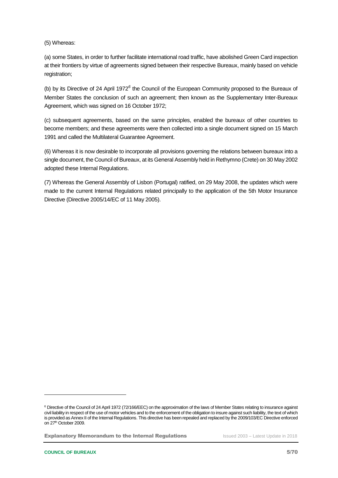(5) Whereas:

(a) some States, in order to further facilitate international road traffic, have abolished Green Card inspection at their frontiers by virtue of agreements signed between their respective Bureaux, mainly based on vehicle registration:

(b) by its Directive of 24 April 1972*<sup>6</sup>* the Council of the European Community proposed to the Bureaux of Member States the conclusion of such an agreement; then known as the Supplementary Inter-Bureaux Agreement, which was signed on 16 October 1972;

(c) subsequent agreements, based on the same principles, enabled the bureaux of other countries to become members; and these agreements were then collected into a single document signed on 15 March 1991 and called the Multilateral Guarantee Agreement.

(6) Whereas it is now desirable to incorporate all provisions governing the relations between bureaux into a single document, the Council of Bureaux, at its General Assembly held in Rethymno (Crete) on 30 May 2002 adopted these Internal Regulations.

(7) Whereas the General Assembly of Lisbon (Portugal) ratified, on 29 May 2008, the updates which were made to the current Internal Regulations related principally to the application of the 5th Motor Insurance Directive (Directive 2005/14/EC of 11 May 2005).

Explanatory Memorandum to the Internal RegulationsIssued 2003 – Latest Update in 2018

<sup>&</sup>lt;sup>6</sup> Directive of the Council of 24 April 1972 (72/166/EEC) on the approximation of the laws of Member States relating to insurance against civil liability in respect of the use of motor vehicles and to the enforcement of the obligation to insure against such liability, the text of which is provided as Annex II of the Internal Regulations. This directive has been repealed and replaced by the 2009/103/EC Directive enforced on 27<sup>th</sup> October 2009.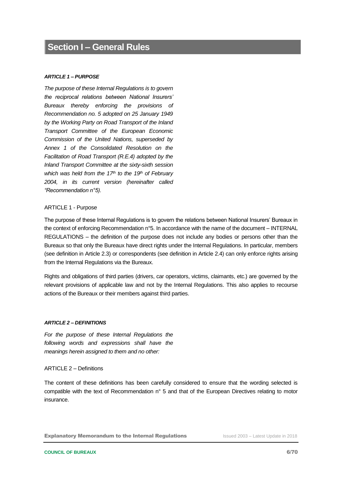### **Section I – General Rules**

#### *ARTICLE 1 – PURPOSE*

*The purpose of these Internal Regulations is to govern the reciprocal relations between National Insurers' Bureaux thereby enforcing the provisions of Recommendation no. 5 adopted on 25 January 1949 by the Working Party on Road Transport of the Inland Transport Committee of the European Economic Commission of the United Nations, superseded by Annex 1 of the Consolidated Resolution on the Facilitation of Road Transport (R.E.4) adopted by the Inland Transport Committee at the sixty-sixth session which was held from the 17th to the 19th of February 2004, in its current version (hereinafter called "Recommendation n°5).*

#### ARTICLE 1 - Purpose

The purpose of these Internal Regulations is to govern the relations between National Insurers' Bureaux in the context of enforcing Recommendation n°5. In accordance with the name of the document – INTERNAL REGULATIONS – the definition of the purpose does not include any bodies or persons other than the Bureaux so that only the Bureaux have direct rights under the Internal Regulations. In particular, members (see definition in Article 2.3) or correspondents (see definition in Article 2.4) can only enforce rights arising from the Internal Regulations via the Bureaux.

Rights and obligations of third parties (drivers, car operators, victims, claimants, etc.) are governed by the relevant provisions of applicable law and not by the Internal Regulations. This also applies to recourse actions of the Bureaux or their members against third parties.

#### *ARTICLE 2 – DEFINITIONS*

*For the purpose of these Internal Regulations the following words and expressions shall have the meanings herein assigned to them and no other:*

#### ARTICLE 2 – Definitions

The content of these definitions has been carefully considered to ensure that the wording selected is compatible with the text of Recommendation n° 5 and that of the European Directives relating to motor insurance.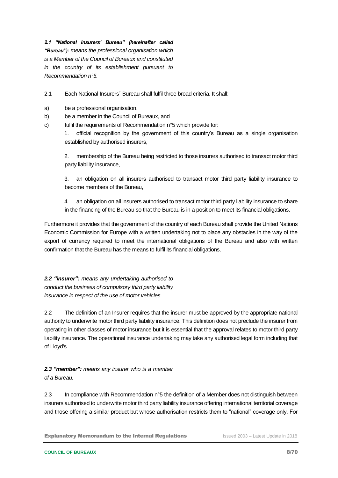*2.1 "National Insurers' Bureau" (hereinafter called "Bureau"): means the professional organisation which is a Member of the Council of Bureaux and constituted in the country of its establishment pursuant to Recommendation n°5.*

2.1 Each National Insurers´ Bureau shall fulfil three broad criteria. It shall:

- a) be a professional organisation,
- b) be a member in the Council of Bureaux, and
- c) fulfil the requirements of Recommendation n°5 which provide for:

1. official recognition by the government of this country's Bureau as a single organisation established by authorised insurers,

2. membership of the Bureau being restricted to those insurers authorised to transact motor third party liability insurance,

3. an obligation on all insurers authorised to transact motor third party liability insurance to become members of the Bureau,

4. an obligation on all insurers authorised to transact motor third party liability insurance to share in the financing of the Bureau so that the Bureau is in a position to meet its financial obligations.

Furthermore it provides that the government of the country of each Bureau shall provide the United Nations Economic Commission for Europe with a written undertaking not to place any obstacles in the way of the export of currency required to meet the international obligations of the Bureau and also with written confirmation that the Bureau has the means to fulfil its financial obligations.

*2.2 "insurer": means any undertaking authorised to conduct the business of compulsory third party liability insurance in respect of the use of motor vehicles.*

2.2 The definition of an Insurer requires that the insurer must be approved by the appropriate national authority to underwrite motor third party liability insurance. This definition does not preclude the insurer from operating in other classes of motor insurance but it is essential that the approval relates to motor third party liability insurance. The operational insurance undertaking may take any authorised legal form including that of Lloyd's.

*2.3 "member": means any insurer who is a member of a Bureau.*

2.3 In compliance with Recommendation n°5 the definition of a Member does not distinguish between insurers authorised to underwrite motor third party liability insurance offering international territorial coverage and those offering a similar product but whose authorisation restricts them to "national" coverage only. For

**Explanatory Memorandum to the Internal Regulations ISSUED 1888 ISSUED 1888 1889 1889 ISSUED 1889 1889 1899 1899**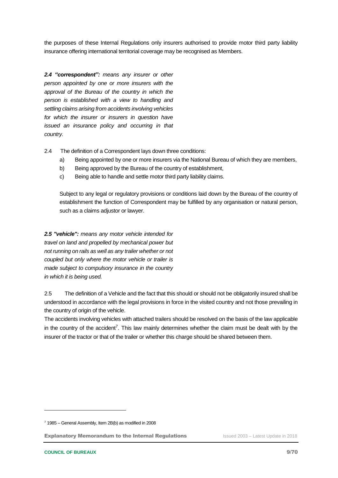the purposes of these Internal Regulations only insurers authorised to provide motor third party liability insurance offering international territorial coverage may be recognised as Members.

*2.4 "correspondent": means any insurer or other person appointed by one or more insurers with the approval of the Bureau of the country in which the person is established with a view to handling and settling claims arising from accidents involving vehicles for which the insurer or insurers in question have issued an insurance policy and occurring in that country.* 

2.4 The definition of a Correspondent lays down three conditions:

- a) Being appointed by one or more insurers via the National Bureau of which they are members,
- b) Being approved by the Bureau of the country of establishment,
- c) Being able to handle and settle motor third party liability claims.

Subject to any legal or regulatory provisions or conditions laid down by the Bureau of the country of establishment the function of Correspondent may be fulfilled by any organisation or natural person, such as a claims adjustor or lawyer.

*2.5 "vehicle": means any motor vehicle intended for travel on land and propelled by mechanical power but not running on rails as well as any trailer whether or not coupled but only where the motor vehicle or trailer is made subject to compulsory insurance in the country in which it is being used.*

2.5 The definition of a Vehicle and the fact that this should or should not be obligatorily insured shall be understood in accordance with the legal provisions in force in the visited country and not those prevailing in the country of origin of the vehicle.

The accidents involving vehicles with attached trailers should be resolved on the basis of the law applicable in the country of the accident<sup>7</sup>. This law mainly determines whether the claim must be dealt with by the insurer of the tractor or that of the trailer or whether this charge should be shared between them.

<sup>7</sup> 1985 – General Assembly, Item 2B(b) as modified in 2008

**Explanatory Memorandum to the Internal Regulations ISSUED 1888 ISSUED 1888 1889 1889 ISSUED 1889 1889 1899 1899**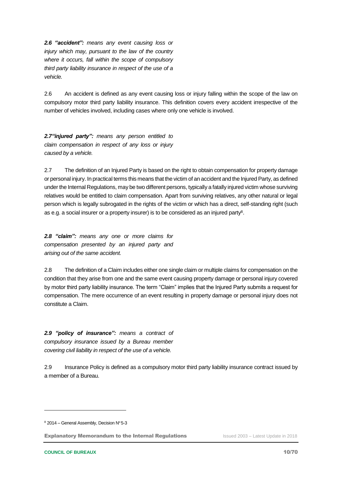*2.6 "accident": means any event causing loss or injury which may, pursuant to the law of the country where it occurs, fall within the scope of compulsory third party liability insurance in respect of the use of a vehicle.*

2.6 An accident is defined as any event causing loss or injury falling within the scope of the law on compulsory motor third party liability insurance. This definition covers every accident irrespective of the number of vehicles involved, including cases where only one vehicle is involved.

*2.7"injured party": means any person entitled to claim compensation in respect of any loss or injury caused by a vehicle.* 

2.7 The definition of an Injured Party is based on the right to obtain compensation for property damage or personal injury. In practical terms this means that the victim of an accident and the Injured Party, as defined under the Internal Regulations, may be two different persons, typically a fatally injured victim whose surviving relatives would be entitled to claim compensation. Apart from surviving relatives, any other natural or legal person which is legally subrogated in the rights of the victim or which has a direct, self-standing right (such as e.g. a social insurer or a property insurer) is to be considered as an injured party<sup>8</sup>.

*2.8 "claim": means any one or more claims for compensation presented by an injured party and arising out of the same accident.* 

2.8 The definition of a Claim includes either one single claim or multiple claims for compensation on the condition that they arise from one and the same event causing property damage or personal injury covered by motor third party liability insurance. The term "Claim" implies that the Injured Party submits a request for compensation. The mere occurrence of an event resulting in property damage or personal injury does not constitute a Claim.

*2.9 "policy of insurance": means a contract of compulsory insurance issued by a Bureau member covering civil liability in respect of the use of a vehicle.*

2.9 Insurance Policy is defined as a compulsory motor third party liability insurance contract issued by a member of a Bureau.

 $8$  2014 – General Assembly, Decision N°5-3

**Explanatory Memorandum to the Internal Regulations ISSUED 1888 ISSUED 1888 1889 1889 ISSUED 1889 1889 1899 1899**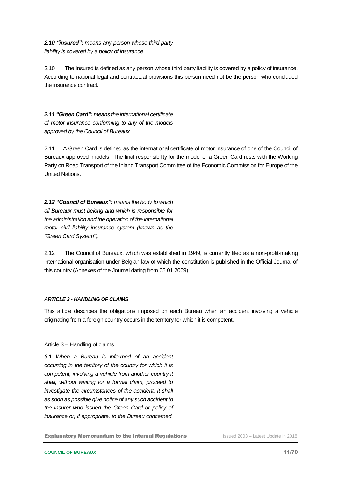#### *2.10 "insured": means any person whose third party liability is covered by a policy of insurance.*

2.10 The Insured is defined as any person whose third party liability is covered by a policy of insurance. According to national legal and contractual provisions this person need not be the person who concluded the insurance contract.

*2.11 "Green Card": means the international certificate of motor insurance conforming to any of the models approved by the Council of Bureaux.*

2.11 A Green Card is defined as the international certificate of motor insurance of one of the Council of Bureaux approved 'models'. The final responsibility for the model of a Green Card rests with the Working Party on Road Transport of the Inland Transport Committee of the Economic Commission for Europe of the United Nations.

*2.12 "Council of Bureaux": means the body to which all Bureaux must belong and which is responsible for the administration and the operation of the international motor civil liability insurance system (known as the "Green Card System").*

2.12 The Council of Bureaux, which was established in 1949, is currently filed as a non-profit-making international organisation under Belgian law of which the constitution is published in the Official Journal of this country (Annexes of the Journal dating from 05.01.2009).

#### *ARTICLE 3 - HANDLING OF CLAIMS*

This article describes the obligations imposed on each Bureau when an accident involving a vehicle originating from a foreign country occurs in the territory for which it is competent.

#### Article 3 – Handling of claims

*3.1 When a Bureau is informed of an accident occurring in the territory of the country for which it is competent, involving a vehicle from another country it shall, without waiting for a formal claim, proceed to investigate the circumstances of the accident. It shall as soon as possible give notice of any such accident to the insurer who issued the Green Card or policy of insurance or, if appropriate, to the Bureau concerned.* 

**Explanatory Memorandum to the Internal Regulations ISSUED 1888 ISSUED 1888 1889 1889 ISSUED 1889 1889 1899 1899**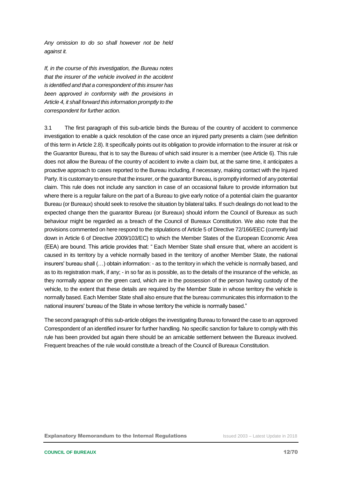*Any omission to do so shall however not be held against it.*

*If, in the course of this investigation, the Bureau notes that the insurer of the vehicle involved in the accident is identified and that a correspondent of this insurer has been approved in conformity with the provisions in Article 4, it shall forward this information promptly to the correspondent for further action.*

3.1 The first paragraph of this sub-article binds the Bureau of the country of accident to commence investigation to enable a quick resolution of the case once an injured party presents a claim (see definition of this term in Article 2.8). It specifically points out its obligation to provide information to the insurer at risk or the Guarantor Bureau, that is to say the Bureau of which said insurer is a member (see Article 6). This rule does not allow the Bureau of the country of accident to invite a claim but, at the same time, it anticipates a proactive approach to cases reported to the Bureau including, if necessary, making contact with the Injured Party. It is customary to ensure that the insurer, or the guarantor Bureau, is promptly informed of any potential claim. This rule does not include any sanction in case of an occasional failure to provide information but where there is a regular failure on the part of a Bureau to give early notice of a potential claim the guarantor Bureau (or Bureaux) should seek to resolve the situation by bilateral talks. If such dealings do not lead to the expected change then the guarantor Bureau (or Bureaux) should inform the Council of Bureaux as such behaviour might be regarded as a breach of the Council of Bureaux Constitution. We also note that the provisions commented on here respond to the stipulations of Article 5 of Directive 72/166/EEC (currently laid down in Article 6 of Directive 2009/103/EC) to which the Member States of the European Economic Area (EEA) are bound. This article provides that: " Each Member State shall ensure that, where an accident is caused in its territory by a vehicle normally based in the territory of another Member State, the national insurers' bureau shall (…) obtain information: - as to the territory in which the vehicle is normally based, and as to its registration mark, if any; - in so far as is possible, as to the details of the insurance of the vehicle, as they normally appear on the green card, which are in the possession of the person having custody of the vehicle, to the extent that these details are required by the Member State in whose territory the vehicle is normally based. Each Member State shall also ensure that the bureau communicates this information to the national insurers' bureau of the State in whose territory the vehicle is normally based."

The second paragraph of this sub-article obliges the investigating Bureau to forward the case to an approved Correspondent of an identified insurer for further handling. No specific sanction for failure to comply with this rule has been provided but again there should be an amicable settlement between the Bureaux involved. Frequent breaches of the rule would constitute a breach of the Council of Bureaux Constitution.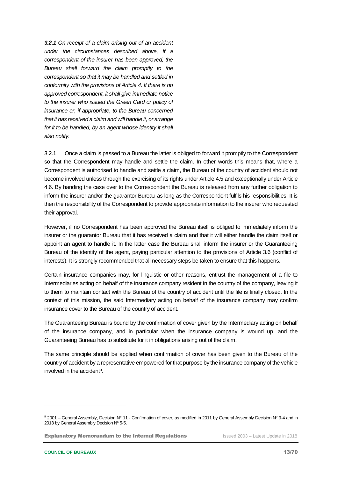*3.2.1 On receipt of a claim arising out of an accident under the circumstances described above, if a correspondent of the insurer has been approved, the Bureau shall forward the claim promptly to the correspondent so that it may be handled and settled in conformity with the provisions of Article 4. If there is no approved correspondent, it shall give immediate notice to the insurer who issued the Green Card or policy of insurance or, if appropriate, to the Bureau concerned that it has received a claim and will handle it, or arrange for it to be handled, by an agent whose identity it shall also notify.*

3.2.1 Once a claim is passed to a Bureau the latter is obliged to forward it promptly to the Correspondent so that the Correspondent may handle and settle the claim. In other words this means that, where a Correspondent is authorised to handle and settle a claim, the Bureau of the country of accident should not become involved unless through the exercising of its rights under Article 4.5 and exceptionally under Article 4.6. By handing the case over to the Correspondent the Bureau is released from any further obligation to inform the insurer and/or the guarantor Bureau as long as the Correspondent fulfils his responsibilities. It is then the responsibility of the Correspondent to provide appropriate information to the insurer who requested their approval.

However, if no Correspondent has been approved the Bureau itself is obliged to immediately inform the insurer or the guarantor Bureau that it has received a claim and that it will either handle the claim itself or appoint an agent to handle it. In the latter case the Bureau shall inform the insurer or the Guaranteeing Bureau of the identity of the agent, paying particular attention to the provisions of Article 3.6 (conflict of interests). It is strongly recommended that all necessary steps be taken to ensure that this happens.

Certain insurance companies may, for linguistic or other reasons, entrust the management of a file to Intermediaries acting on behalf of the insurance company resident in the country of the company, leaving it to them to maintain contact with the Bureau of the country of accident until the file is finally closed. In the context of this mission, the said Intermediary acting on behalf of the insurance company may confirm insurance cover to the Bureau of the country of accident.

The Guaranteeing Bureau is bound by the confirmation of cover given by the Intermediary acting on behalf of the insurance company, and in particular when the insurance company is wound up, and the Guaranteeing Bureau has to substitute for it in obligations arising out of the claim.

The same principle should be applied when confirmation of cover has been given to the Bureau of the country of accident by a representative empowered for that purpose by the insurance company of the vehicle involved in the accident<sup>9</sup>.

<sup>9 2001 –</sup> General Assembly, Decision N° 11 - Confirmation of cover, as modified in 2011 by General Assembly Decision N° 9-4 and in 2013 by General Assembly Decision Nº 5-5.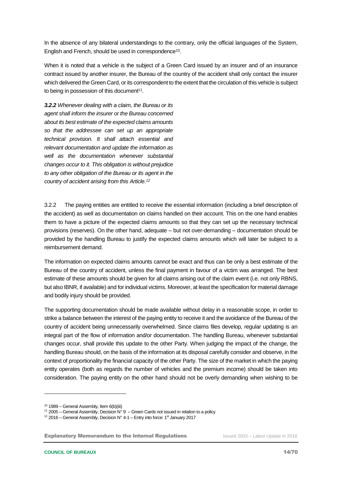In the absence of any bilateral understandings to the contrary, only the official languages of the System, English and French, should be used in correspondence<sup>10</sup>.

When it is noted that a vehicle is the subject of a Green Card issued by an insurer and of an insurance contract issued by another insurer, the Bureau of the country of the accident shall only contact the insurer which delivered the Green Card, or its correspondent to the extent that the circulation of this vehicle is subject to being in possession of this document $11$ .

*3.2.2 Whenever dealing with a claim, the Bureau or its agent shall inform the insurer or the Bureau concerned about its best estimate of the expected claims amounts so that the addressee can set up an appropriate technical provision. It shall attach essential and relevant documentation and update the information as well as the documentation whenever substantial changes occur to it. This obligation is without prejudice to any other obligation of the Bureau or its agent in the country of accident arising from this Article. 12*

3.2.2 The paying entities are entitled to receive the essential information (including a brief description of the accident) as well as documentation on claims handled on their account. This on the one hand enables them to have a picture of the expected claims amounts so that they can set up the necessary technical provisions (reserves). On the other hand, adequate – but not over-demanding – documentation should be provided by the handling Bureau to justify the expected claims amounts which will later be subject to a reimbursement demand.

The information on expected claims amounts cannot be exact and thus can be only a best estimate of the Bureau of the country of accident, unless the final payment in favour of a victim was arranged. The best estimate of these amounts should be given for all claims arising out of the claim event (i.e. not only RBNS, but also IBNR, if available) and for individual victims. Moreover, at least the specification for material damage and bodily injury should be provided.

The supporting documentation should be made available without delay in a reasonable scope, in order to strike a balance between the interest of the paying entity to receive it and the avoidance of the Bureau of the country of accident being unnecessarily overwhelmed. Since claims files develop, regular updating is an integral part of the flow of information and/or documentation. The handling Bureau, whenever substantial changes occur, shall provide this update to the other Party. When judging the impact of the change, the handling Bureau should, on the basis of the information at its disposal carefully consider and observe, in the context of proportionality the financial capacity of the other Party. The size of the market in which the paying entity operates (both as regards the number of vehicles and the premium income) should be taken into consideration. The paying entity on the other hand should not be overly demanding when wishing to be

 $10$  1989 – General Assembly, Item 6(b)(iii)

<sup>&</sup>lt;sup>11</sup> 2005 – General Assembly, Decision  $N^{\circ}$  9 – Green Cards not issued in relation to a policy

<sup>&</sup>lt;sup>12</sup> 2016 – General Assembly, Decision N° 4-1 – Entry into force: 1<sup>st</sup> January 2017

Explanatory Memorandum to the Internal RegulationsIssued 2003 – Latest Update in 2018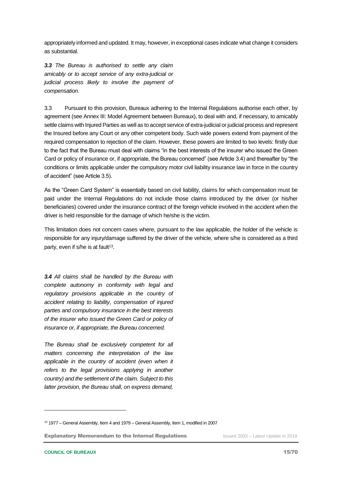appropriately informed and updated. It may, however, in exceptional cases indicate what change it considers as substantial.

*3.3 The Bureau is authorised to settle any claim amicably or to accept service of any extra-judicial or judicial process likely to involve the payment of compensation.*

3.3 Pursuant to this provision, Bureaux adhering to the Internal Regulations authorise each other, by agreement (see Annex III: Model Agreement between Bureaux), to deal with and, if necessary, to amicably settle claims with Injured Parties as well as to accept service of extra-judicial or judicial process and represent the Insured before any Court or any other competent body. Such wide powers extend from payment of the required compensation to rejection of the claim. However, these powers are limited to two levels: firstly due to the fact that the Bureau must deal with claims "in the best interests of the insurer who issued the Green Card or policy of insurance or, if appropriate, the Bureau concerned" (see Article 3.4) and thereafter by "the conditions or limits applicable under the compulsory motor civil liability insurance law in force in the country of accident" (see Article 3.5).

As the "Green Card System" is essentially based on civil liability, claims for which compensation must be paid under the Internal Regulations do not include those claims introduced by the driver (or his/her beneficiaries) covered under the insurance contract of the foreign vehicle involved in the accident when the driver is held responsible for the damage of which he/she is the victim.

This limitation does not concern cases where, pursuant to the law applicable, the holder of the vehicle is responsible for any injury/damage suffered by the driver of the vehicle, where s/he is considered as a third party, even if s/he is at fault<sup>13</sup>.

*3.4 All claims shall be handled by the Bureau with complete autonomy in conformity with legal and regulatory provisions applicable in the country of accident relating to liability, compensation of injured parties and compulsory insurance in the best interests of the insurer who issued the Green Card or policy of insurance or, if appropriate, the Bureau concerned.*

*The Bureau shall be exclusively competent for all matters concerning the interpretation of the law applicable in the country of accident (even when it refers to the legal provisions applying in another country) and the settlement of the claim. Subject to this latter provision, the Bureau shall, on express demand,* 

<sup>13</sup> 1977 – General Assembly, Item 4 and 1979 – General Assembly, Item 1, modified in 2007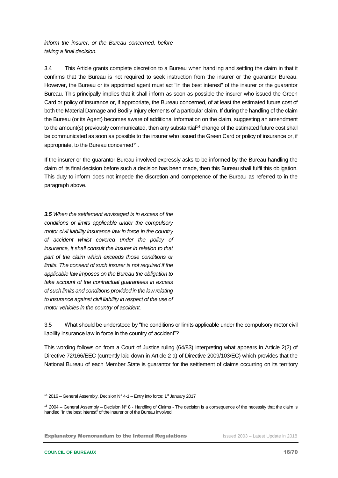*inform the insurer, or the Bureau concerned, before taking a final decision.*

3.4 This Article grants complete discretion to a Bureau when handling and settling the claim in that it confirms that the Bureau is not required to seek instruction from the insurer or the guarantor Bureau. However, the Bureau or its appointed agent must act "in the best interest" of the insurer or the guarantor Bureau. This principally implies that it shall inform as soon as possible the insurer who issued the Green Card or policy of insurance or, if appropriate, the Bureau concerned, of at least the estimated future cost of both the Material Damage and Bodily Injury elements of a particular claim. If during the handling of the claim the Bureau (or its Agent) becomes aware of additional information on the claim, suggesting an amendment to the amount(s) previously communicated, then any substantial<sup>14</sup> change of the estimated future cost shall be communicated as soon as possible to the insurer who issued the Green Card or policy of insurance or, if appropriate, to the Bureau concerned<sup>15</sup>.

If the insurer or the guarantor Bureau involved expressly asks to be informed by the Bureau handling the claim of its final decision before such a decision has been made, then this Bureau shall fulfil this obligation. This duty to inform does not impede the discretion and competence of the Bureau as referred to in the paragraph above.

*3.5 When the settlement envisaged is in excess of the conditions or limits applicable under the compulsory motor civil liability insurance law in force in the country of accident whilst covered under the policy of insurance, it shall consult the insurer in relation to that part of the claim which exceeds those conditions or limits. The consent of such insurer is not required if the applicable law imposes on the Bureau the obligation to take account of the contractual guarantees in excess of such limits and conditions provided in the law relating to insurance against civil liability in respect of the use of motor vehicles in the country of accident.*

3.5 What should be understood by "the conditions or limits applicable under the compulsory motor civil liability insurance law in force in the country of accident"?

This wording follows on from a Court of Justice ruling (64/83) interpreting what appears in Article 2(2) of Directive 72/166/EEC (currently laid down in Article 2 a) of Directive 2009/103/EC) which provides that the National Bureau of each Member State is guarantor for the settlement of claims occurring on its territory

**Explanatory Memorandum to the Internal Regulations ISSUED 1888 ISSUED 2003** – Latest Update in 2018

<sup>&</sup>lt;sup>14</sup> 2016 – General Assembly, Decision N° 4-1 – Entry into force: 1<sup>st</sup> January 2017

<sup>&</sup>lt;sup>15</sup> 2004 – General Assembly – Decision  $N^{\circ}$  8 - Handling of Claims - The decision is a consequence of the necessity that the claim is handled "in the best interest" of the insurer or of the Bureau involved.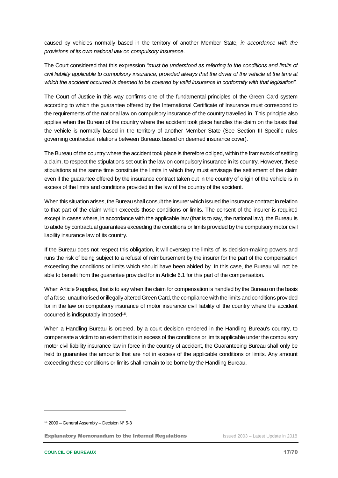caused by vehicles normally based in the territory of another Member State*, in accordance with the provisions of its own national law on compulsory insurance*.

The Court considered that this expression *"must be understood as referring to the conditions and limits of civil liability applicable to compulsory insurance, provided always that the driver of the vehicle at the time at which the accident occurred is deemed to be covered by valid insurance in conformity with that legislation".*

The Court of Justice in this way confirms one of the fundamental principles of the Green Card system according to which the guarantee offered by the International Certificate of Insurance must correspond to the requirements of the national law on compulsory insurance of the country travelled in. This principle also applies when the Bureau of the country where the accident took place handles the claim on the basis that the vehicle is normally based in the territory of another Member State (See Section III Specific rules governing contractual relations between Bureaux based on deemed insurance cover).

The Bureau of the country where the accident took place is therefore obliged, within the framework of settling a claim, to respect the stipulations set out in the law on compulsory insurance in its country. However, these stipulations at the same time constitute the limits in which they must envisage the settlement of the claim even if the guarantee offered by the insurance contract taken out in the country of origin of the vehicle is in excess of the limits and conditions provided in the law of the country of the accident.

When this situation arises, the Bureau shall consult the insurer which issued the insurance contract in relation to that part of the claim which exceeds those conditions or limits. The consent of the insurer is required except in cases where, in accordance with the applicable law (that is to say, the national law), the Bureau is to abide by contractual guarantees exceeding the conditions or limits provided by the compulsory motor civil liability insurance law of its country.

If the Bureau does not respect this obligation, it will overstep the limits of its decision-making powers and runs the risk of being subject to a refusal of reimbursement by the insurer for the part of the compensation exceeding the conditions or limits which should have been abided by. In this case, the Bureau will not be able to benefit from the guarantee provided for in Article 6.1 for this part of the compensation.

When Article 9 applies, that is to say when the claim for compensation is handled by the Bureau on the basis of a false, unauthorised or illegally altered Green Card, the compliance with the limits and conditions provided for in the law on compulsory insurance of motor insurance civil liability of the country where the accident occurred is indisputably imposed<sup>16</sup>.

When a Handling Bureau is ordered, by a court decision rendered in the Handling Bureau's country, to compensate a victim to an extent that is in excess of the conditions or limits applicable under the compulsory motor civil liability insurance law in force in the country of accident, the Guaranteeing Bureau shall only be held to guarantee the amounts that are not in excess of the applicable conditions or limits. Any amount exceeding these conditions or limits shall remain to be borne by the Handling Bureau.

<sup>16</sup> 2009 – General Assembly – Decision N° 5-3

**Explanatory Memorandum to the Internal Regulations ISSUED 1888 ISSUED 2003** – Latest Update in 2018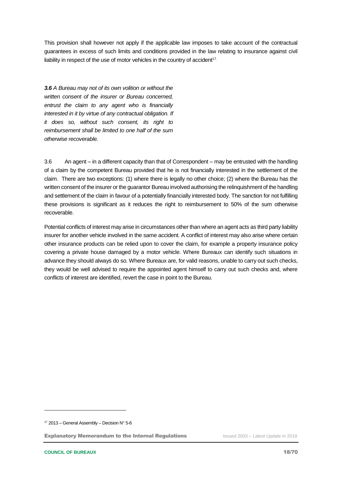This provision shall however not apply if the applicable law imposes to take account of the contractual guarantees in excess of such limits and conditions provided in the law relating to insurance against civil liability in respect of the use of motor vehicles in the country of accident<sup>17.</sup>

*3.6 A Bureau may not of its own volition or without the written consent of the insurer or Bureau concerned, entrust the claim to any agent who is financially interested in it by virtue of any contractual obligation. If it does so, without such consent, its right to reimbursement shall be limited to one half of the sum otherwise recoverable.*

3.6 An agent – in a different capacity than that of Correspondent – may be entrusted with the handling of a claim by the competent Bureau provided that he is not financially interested in the settlement of the claim. There are two exceptions: (1) where there is legally no other choice; (2) where the Bureau has the written consent of the insurer or the guarantor Bureau involved authorising the relinquishment of the handling and settlement of the claim in favour of a potentially financially interested body. The sanction for not fulfilling these provisions is significant as it reduces the right to reimbursement to 50% of the sum otherwise recoverable.

Potential conflicts of interest may arise in circumstances other than where an agent acts as third party liability insurer for another vehicle involved in the same accident. A conflict of interest may also arise where certain other insurance products can be relied upon to cover the claim, for example a property insurance policy covering a private house damaged by a motor vehicle. Where Bureaux can identify such situations in advance they should always do so. Where Bureaux are, for valid reasons, unable to carry out such checks, they would be well advised to require the appointed agent himself to carry out such checks and, where conflicts of interest are identified, revert the case in point to the Bureau.

<sup>17</sup> 2013 – General Assembly – Decision N° 5-6

Explanatory Memorandum to the Internal RegulationsIssued 2003 – Latest Update in 2018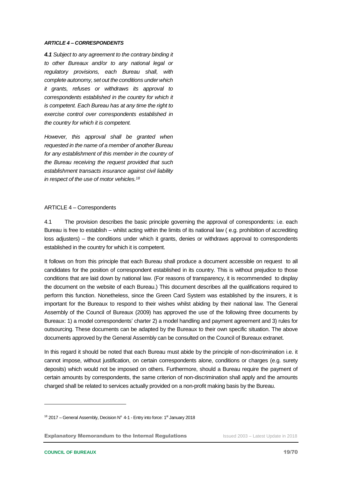#### *ARTICLE 4 – CORRESPONDENTS*

*4.1 Subject to any agreement to the contrary binding it to other Bureaux and/or to any national legal or regulatory provisions, each Bureau shall, with complete autonomy, set out the conditions under which it grants, refuses or withdraws its approval to correspondents established in the country for which it is competent. Each Bureau has at any time the right to exercise control over correspondents established in the country for which it is competent.*

*However, this approval shall be granted when requested in the name of a member of another Bureau for any establishment of this member in the country of the Bureau receiving the request provided that such establishment transacts insurance against civil liability in respect of the use of motor vehicles.<sup>18</sup>*

#### ARTICLE 4 – Correspondents

4.1 The provision describes the basic principle governing the approval of correspondents: i.e. each Bureau is free to establish – whilst acting within the limits of its national law ( e.g. prohibition of accrediting loss adjusters) – the conditions under which it grants, denies or withdraws approval to correspondents established in the country for which it is competent.

It follows on from this principle that each Bureau shall produce a document accessible on request to all candidates for the position of correspondent established in its country. This is without prejudice to those conditions that are laid down by national law. (For reasons of transparency, it is recommended to display the document on the website of each Bureau.) This document describes all the qualifications required to perform this function. Nonetheless, since the Green Card System was established by the insurers, it is important for the Bureaux to respond to their wishes whilst abiding by their national law. The General Assembly of the Council of Bureaux (2009) has approved the use of the following three documents by Bureaux: 1) a model correspondents' charter 2) a model handling and payment agreement and 3) rules for outsourcing. These documents can be adapted by the Bureaux to their own specific situation. The above documents approved by the General Assembly can be consulted on the Council of Bureaux extranet.

In this regard it should be noted that each Bureau must abide by the principle of non-discrimination i.e. it cannot impose, without justification, on certain correspondents alone, conditions or charges (e.g. surety deposits) which would not be imposed on others. Furthermore, should a Bureau require the payment of certain amounts by correspondents, the same criterion of non-discrimination shall apply and the amounts charged shall be related to services actually provided on a non-profit making basis by the Bureau.

 $18$  2017 – General Assembly, Decision N° 4-1 - Entry into force:  $1<sup>st</sup>$  January 2018

Explanatory Memorandum to the Internal RegulationsIssued 2003 – Latest Update in 2018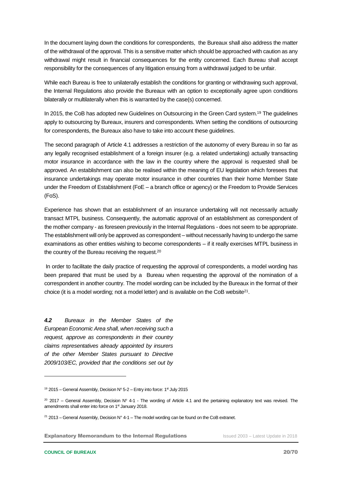In the document laying down the conditions for correspondents, the Bureaux shall also address the matter of the withdrawal of the approval. This is a sensitive matter which should be approached with caution as any withdrawal might result in financial consequences for the entity concerned. Each Bureau shall accept responsibility for the consequences of any litigation ensuing from a withdrawal judged to be unfair.

While each Bureau is free to unilaterally establish the conditions for granting or withdrawing such approval, the Internal Regulations also provide the Bureaux with an option to exceptionally agree upon conditions bilaterally or multilaterally when this is warranted by the case(s) concerned.

In 2015, the CoB has adopted new Guidelines on Outsourcing in the Green Card system.<sup>19</sup> The guidelines apply to outsourcing by Bureaux, insurers and correspondents. When setting the conditions of outsourcing for correspondents, the Bureaux also have to take into account these guidelines.

The second paragraph of Article 4.1 addresses a restriction of the autonomy of every Bureau in so far as any legally recognised establishment of a foreign insurer (e.g. a related undertaking) actually transacting motor insurance in accordance with the law in the country where the approval is requested shall be approved. An establishment can also be realised within the meaning of EU legislation which foresees that insurance undertakings may operate motor insurance in other countries than their home Member State under the Freedom of Establishment (FoE – a branch office or agency) or the Freedom to Provide Services (FoS).

Experience has shown that an establishment of an insurance undertaking will not necessarily actually transact MTPL business. Consequently, the automatic approval of an establishment as correspondent of the mother company - as foreseen previously in the Internal Regulations - does not seem to be appropriate. The establishment will only be approved as correspondent – without necessarily having to undergo the same examinations as other entities wishing to become correspondents – if it really exercises MTPL business in the country of the Bureau receiving the request.<sup>20</sup>

In order to facilitate the daily practice of requesting the approval of correspondents, a model wording has been prepared that must be used by a Bureau when requesting the approval of the nomination of a correspondent in another country. The model wording can be included by the Bureaux in the format of their choice (it is a model wording; not a model letter) and is available on the CoB website<sup>21</sup>.

*4.2 Bureaux in the Member States of the European Economic Area shall, when receiving such a request, approve as correspondents in their country claims representatives already appointed by insurers of the other Member States pursuant to Directive 2009/103/EC, provided that the conditions set out by* 

<sup>&</sup>lt;sup>19</sup> 2015 – General Assembly, Decision N° 5-2 – Entry into force:  $1<sup>st</sup>$  July 2015

 $20$  2017 – General Assembly, Decision N° 4-1 - The wording of Article 4.1 and the pertaining explanatory text was revised. The amendments shall enter into force on 1<sup>st</sup> January 2018.

<sup>&</sup>lt;sup>21</sup> 2013 – General Assembly, Decision  $N^{\circ}$  4-1 – The model wording can be found on the CoB extranet.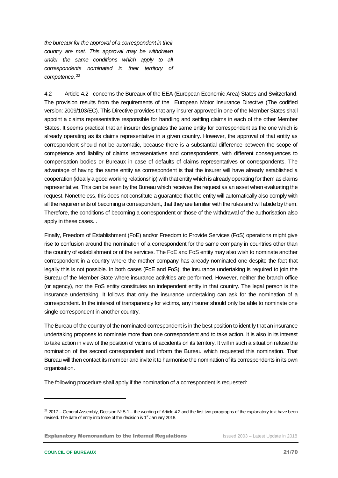*the bureaux for the approval of a correspondent in their country are met. This approval may be withdrawn under the same conditions which apply to all correspondents nominated in their territory of competence.* 22

4.2 Article 4.2 concerns the Bureaux of the EEA (European Economic Area) States and Switzerland. The provision results from the requirements of the European Motor Insurance Directive (The codified version: 2009/103/EC). This Directive provides that any insurer approved in one of the Member States shall appoint a claims representative responsible for handling and settling claims in each of the other Member States. It seems practical that an insurer designates the same entity for correspondent as the one which is already operating as its claims representative in a given country. However, the approval of that entity as correspondent should not be automatic, because there is a substantial difference between the scope of competence and liability of claims representatives and correspondents, with different consequences to compensation bodies or Bureaux in case of defaults of claims representatives or correspondents. The advantage of having the same entity as correspondent is that the insurer will have already established a cooperation (ideally a good working relationship) with that entity which is already operating for them as claims representative. This can be seen by the Bureau which receives the request as an asset when evaluating the request. Nonetheless, this does not constitute a guarantee that the entity will automatically also comply with all the requirements of becoming a correspondent, that they are familiar with the rules and will abide by them. Therefore, the conditions of becoming a correspondent or those of the withdrawal of the authorisation also apply in these cases. .

Finally, Freedom of Establishment (FoE) and/or Freedom to Provide Services (FoS) operations might give rise to confusion around the nomination of a correspondent for the same company in countries other than the country of establishment or of the services. The FoE and FoS entity may also wish to nominate another correspondent in a country where the mother company has already nominated one despite the fact that legally this is not possible. In both cases (FoE and FoS), the insurance undertaking is required to join the Bureau of the Member State where insurance activities are performed. However, neither the branch office (or agency), nor the FoS entity constitutes an independent entity in that country. The legal person is the insurance undertaking. It follows that only the insurance undertaking can ask for the nomination of a correspondent. In the interest of transparency for victims, any insurer should only be able to nominate one single correspondent in another country.

The Bureau of the country of the nominated correspondent is in the best position to identify that an insurance undertaking proposes to nominate more than one correspondent and to take action. It is also in its interest to take action in view of the position of victims of accidents on its territory. It will in such a situation refuse the nomination of the second correspondent and inform the Bureau which requested this nomination. That Bureau will then contact its member and invite it to harmonise the nomination of its correspondents in its own organisation.

The following procedure shall apply if the nomination of a correspondent is requested:

 $^{22}$  2017 – General Assembly, Decision N° 5-1 – the wording of Article 4.2 and the first two paragraphs of the explanatory text have been revised. The date of entry into force of the decision is 1<sup>st</sup> January 2018.

**Explanatory Memorandum to the Internal Regulations Issued 2003 – Latest Update in 2018**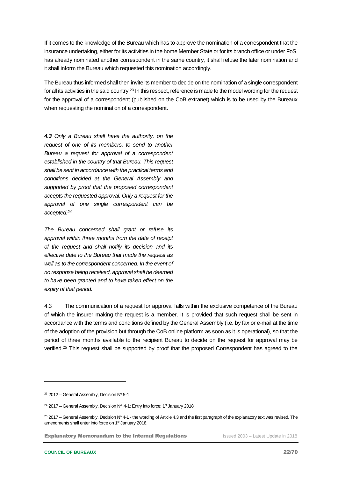If it comes to the knowledge of the Bureau which has to approve the nomination of a correspondent that the insurance undertaking, either for its activities in the home Member State or for its branch office or under FoS, has already nominated another correspondent in the same country, it shall refuse the later nomination and it shall inform the Bureau which requested this nomination accordingly.

The Bureau thus informed shall then invite its member to decide on the nomination of a single correspondent for all its activities in the said country.<sup>23</sup> In this respect, reference is made to the model wording for the request for the approval of a correspondent (published on the CoB extranet) which is to be used by the Bureaux when requesting the nomination of a correspondent.

*4.3 Only a Bureau shall have the authority, on the request of one of its members, to send to another Bureau a request for approval of a correspondent established in the country of that Bureau. This request shall be sent in accordance with the practical terms and conditions decided at the General Assembly and supported by proof that the proposed correspondent accepts the requested approval. Only a request for the approval of one single correspondent can be accepted.<sup>24</sup>*

*The Bureau concerned shall grant or refuse its approval within three months from the date of receipt of the request and shall notify its decision and its effective date to the Bureau that made the request as well as to the correspondent concerned. In the event of no response being received, approval shall be deemed to have been granted and to have taken effect on the expiry of that period.*

4.3 The communication of a request for approval falls within the exclusive competence of the Bureau of which the insurer making the request is a member. It is provided that such request shall be sent in accordance with the terms and conditions defined by the General Assembly (i.e. by fax or e-mail at the time of the adoption of the provision but through the CoB online platform as soon as it is operational), so that the period of three months available to the recipient Bureau to decide on the request for approval may be verified.<sup>25</sup> This request shall be supported by proof that the proposed Correspondent has agreed to the

**Explanatory Memorandum to the Internal Regulations ISSUED 18 ISSUED 15 2018** 

 $23$  2012 – General Assembly, Decision  $N^{\circ}$  5-1

<sup>&</sup>lt;sup>24</sup> 2017 – General Assembly, Decision N° 4-1; Entry into force: 1<sup>st</sup> January 2018

 $25$  2017 – General Assembly, Decision Nº 4-1 - the wording of Article 4.3 and the first paragraph of the explanatory text was revised. The amendments shall enter into force on 1<sup>st</sup> January 2018.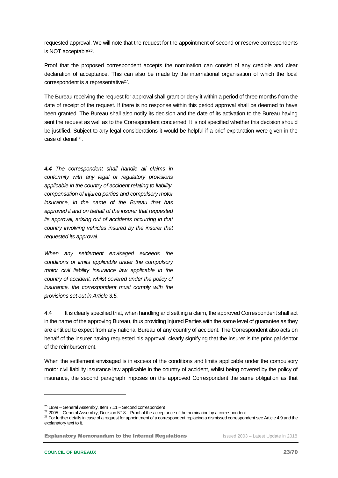requested approval. We will note that the request for the appointment of second or reserve correspondents is NOT acceptable<sup>26</sup>.

Proof that the proposed correspondent accepts the nomination can consist of any credible and clear declaration of acceptance. This can also be made by the international organisation of which the local correspondent is a representative<sup>27</sup>.

The Bureau receiving the request for approval shall grant or deny it within a period of three months from the date of receipt of the request. If there is no response within this period approval shall be deemed to have been granted. The Bureau shall also notify its decision and the date of its activation to the Bureau having sent the request as well as to the Correspondent concerned. It is not specified whether this decision should be justified. Subject to any legal considerations it would be helpful if a brief explanation were given in the case of denial<sup>28</sup>.

*4.4 The correspondent shall handle all claims in conformity with any legal or regulatory provisions applicable in the country of accident relating to liability, compensation of injured parties and compulsory motor insurance, in the name of the Bureau that has approved it and on behalf of the insurer that requested its approval, arising out of accidents occurring in that country involving vehicles insured by the insurer that requested its approval.* 

*When any settlement envisaged exceeds the conditions or limits applicable under the compulsory motor civil liability insurance law applicable in the country of accident, whilst covered under the policy of insurance, the correspondent must comply with the provisions set out in Article 3.5.*

4.4 It is clearly specified that, when handling and settling a claim, the approved Correspondent shall act in the name of the approving Bureau, thus providing Injured Parties with the same level of guarantee as they are entitled to expect from any national Bureau of any country of accident. The Correspondent also acts on behalf of the insurer having requested his approval, clearly signifying that the insurer is the principal debtor of the reimbursement.

When the settlement envisaged is in excess of the conditions and limits applicable under the compulsory motor civil liability insurance law applicable in the country of accident, whilst being covered by the policy of insurance, the second paragraph imposes on the approved Correspondent the same obligation as that

**Explanatory Memorandum to the Internal Regulations ISSUED 15 ISSUED 15 2018 ISSUED 16 2018** 

<sup>26</sup> 1999 – General Assembly, Item 7.11 – Second correspondent

 $27$  2005 – General Assembly, Decision N° 8 – Proof of the acceptance of the nomination by a correspondent

<sup>&</sup>lt;sup>28</sup> For further details in case of a request for appointment of a correspondent replacing a dismissed correspondent see Article 4.9 and the explanatory text to it.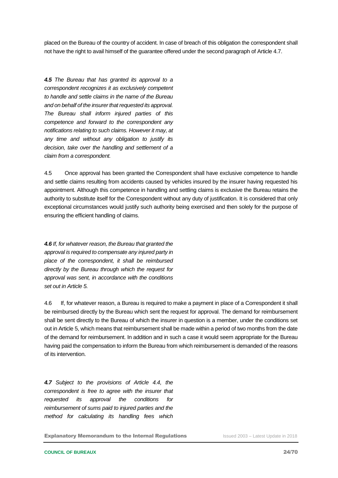placed on the Bureau of the country of accident. In case of breach of this obligation the correspondent shall not have the right to avail himself of the guarantee offered under the second paragraph of Article 4.7.

*4.5 The Bureau that has granted its approval to a correspondent recognizes it as exclusively competent to handle and settle claims in the name of the Bureau and on behalf of the insurer that requested its approval. The Bureau shall inform injured parties of this competence and forward to the correspondent any notifications relating to such claims. However it may, at any time and without any obligation to justify its decision, take over the handling and settlement of a claim from a correspondent.*

4.5 Once approval has been granted the Correspondent shall have exclusive competence to handle and settle claims resulting from accidents caused by vehicles insured by the insurer having requested his appointment. Although this competence in handling and settling claims is exclusive the Bureau retains the authority to substitute itself for the Correspondent without any duty of justification. It is considered that only exceptional circumstances would justify such authority being exercised and then solely for the purpose of ensuring the efficient handling of claims.

*4.6 If, for whatever reason, the Bureau that granted the approval is required to compensate any injured party in place of the correspondent, it shall be reimbursed directly by the Bureau through which the request for approval was sent, in accordance with the conditions set out in Article 5.*

4.6 If, for whatever reason, a Bureau is required to make a payment in place of a Correspondent it shall be reimbursed directly by the Bureau which sent the request for approval. The demand for reimbursement shall be sent directly to the Bureau of which the insurer in question is a member, under the conditions set out in Article 5, which means that reimbursement shall be made within a period of two months from the date of the demand for reimbursement. In addition and in such a case it would seem appropriate for the Bureau having paid the compensation to inform the Bureau from which reimbursement is demanded of the reasons of its intervention.

*4.7 Subject to the provisions of Article 4.4, the correspondent is free to agree with the insurer that requested its approval the conditions for reimbursement of sums paid to injured parties and the method for calculating its handling fees which*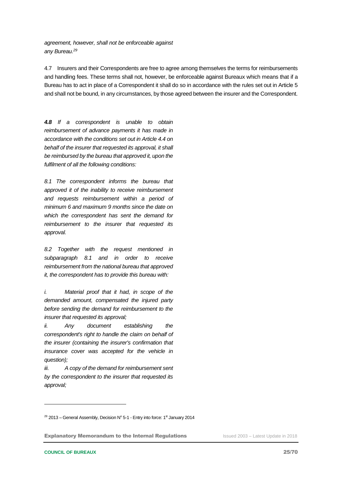*agreement, however, shall not be enforceable against any Bureau.<sup>29</sup>*

4.7 Insurers and their Correspondents are free to agree among themselves the terms for reimbursements and handling fees. These terms shall not, however, be enforceable against Bureaux which means that if a Bureau has to act in place of a Correspondent it shall do so in accordance with the rules set out in Article 5 and shall not be bound, in any circumstances, by those agreed between the insurer and the Correspondent.

*4.8 If a correspondent is unable to obtain reimbursement of advance payments it has made in accordance with the conditions set out in Article 4.4 on behalf of the insurer that requested its approval, it shall be reimbursed by the bureau that approved it, upon the fulfilment of all the following conditions:*

*8.1 The correspondent informs the bureau that approved it of the inability to receive reimbursement and requests reimbursement within a period of minimum 6 and maximum 9 months since the date on which the correspondent has sent the demand for reimbursement to the insurer that requested its approval.*

*8.2 Together with the request mentioned in subparagraph 8.1 and in order to receive reimbursement from the national bureau that approved it, the correspondent has to provide this bureau with:*

*i. Material proof that it had, in scope of the demanded amount, compensated the injured party before sending the demand for reimbursement to the insurer that requested its approval;*

*ii. Any document establishing the correspondent's right to handle the claim on behalf of the insurer (containing the insurer's confirmation that insurance cover was accepted for the vehicle in question);*

*iii. A copy of the demand for reimbursement sent by the correspondent to the insurer that requested its approval;*

 $29$  2013 – General Assembly, Decision N° 5-1 - Entry into force: 1<sup>st</sup> January 2014

Explanatory Memorandum to the Internal RegulationsIssued 2003 – Latest Update in 2018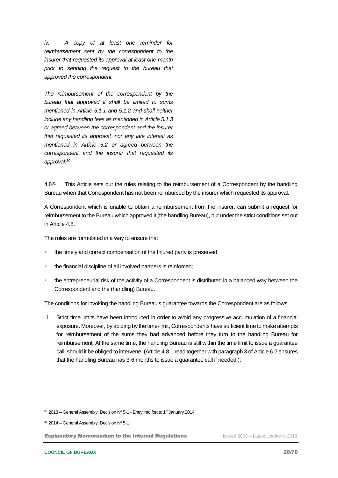*iv. A copy of at least one reminder for reimbursement sent by the correspondent to the insurer that requested its approval at least one month prior to sending the request to the bureau that approved the correspondent.*

*The reimbursement of the correspondent by the bureau that approved it shall be limited to sums mentioned in Article 5.1.1 and 5.1.2 and shall neither include any handling fees as mentioned in Article 5.1.3 or agreed between the correspondent and the insurer that requested its approval, nor any late interest as mentioned in Article 5.2 or agreed between the correspondent and the insurer that requested its approval.<sup>30</sup>*

4.8<sup>31</sup> This Article sets out the rules relating to the reimbursement of a Correspondent by the handling Bureau when that Correspondent has not been reimbursed by the insurer which requested its approval.

A Correspondent which is unable to obtain a reimbursement from the insurer, can submit a request for reimbursement to the Bureau which approved it (the handling Bureau), but under the strict conditions set out in Article 4.8.

The rules are formulated in a way to ensure that

- the timely and correct compensation of the Injured party is preserved;
- the financial discipline of all involved partners is reinforced;
- the entrepreneurial risk of the activity of a Correspondent is distributed in a balanced way between the Correspondent and the (handling) Bureau.

The conditions for invoking the handling Bureau's guarantee towards the Correspondent are as follows:

1. Strict time limits have been introduced in order to avoid any progressive accumulation of a financial exposure. Moreover, by abiding by the time-limit, Correspondents have sufficient time to make attempts for reimbursement of the sums they had advanced before they turn to the handling Bureau for reimbursement. At the same time, the handling Bureau is still within the time limit to issue a guarantee call, should it be obliged to intervene. (Article 4.8.1 read together with paragraph 3 of Article 6.2 ensures that the handling Bureau has 3-6 months to issue a guarantee call if needed.);

 $30$  2013 – General Assembly, Decision N° 5-1 - Entry into force: 1<sup>st</sup> January 2014

 $31$  2014 – General Assembly, Decision  $N^{\circ}$  5-1

**Explanatory Memorandum to the Internal Regulations ISSUED 1888 ISSUED 1888 1889 1889 ISSUED 1889 1889 1899 1899**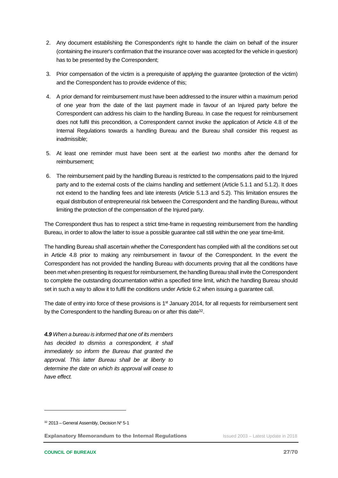- 2. Any document establishing the Correspondent's right to handle the claim on behalf of the insurer (containing the insurer's confirmation that the insurance cover was accepted for the vehicle in question) has to be presented by the Correspondent;
- 3. Prior compensation of the victim is a prerequisite of applying the guarantee (protection of the victim) and the Correspondent has to provide evidence of this;
- 4. A prior demand for reimbursement must have been addressed to the insurer within a maximum period of one year from the date of the last payment made in favour of an Injured party before the Correspondent can address his claim to the handling Bureau. In case the request for reimbursement does not fulfil this precondition, a Correspondent cannot invoke the application of Article 4.8 of the Internal Regulations towards a handling Bureau and the Bureau shall consider this request as inadmissible;
- 5. At least one reminder must have been sent at the earliest two months after the demand for reimbursement;
- 6. The reimbursement paid by the handling Bureau is restricted to the compensations paid to the Injured party and to the external costs of the claims handling and settlement (Article 5.1.1 and 5.1.2). It does not extend to the handling fees and late interests (Article 5.1.3 and 5.2). This limitation ensures the equal distribution of entrepreneurial risk between the Correspondent and the handling Bureau, without limiting the protection of the compensation of the Injured party.

The Correspondent thus has to respect a strict time-frame in requesting reimbursement from the handling Bureau, in order to allow the latter to issue a possible guarantee call still within the one year time-limit.

The handling Bureau shall ascertain whether the Correspondent has complied with all the conditions set out in Article 4.8 prior to making any reimbursement in favour of the Correspondent. In the event the Correspondent has not provided the handling Bureau with documents proving that all the conditions have been met when presenting its request for reimbursement, the handling Bureau shall invite the Correspondent to complete the outstanding documentation within a specified time limit, which the handling Bureau should set in such a way to allow it to fulfil the conditions under Article 6.2 when issuing a guarantee call.

The date of entry into force of these provisions is  $1<sup>st</sup>$  January 2014, for all requests for reimbursement sent by the Correspondent to the handling Bureau on or after this date<sup>32</sup>.

*4.9 When a bureau is informed that one of its members has decided to dismiss a correspondent, it shall immediately so inform the Bureau that granted the approval. This latter Bureau shall be at liberty to determine the date on which its approval will cease to have effect.*

 $32$  2013 – General Assembly, Decision N° 5-1

**Explanatory Memorandum to the Internal Regulations Issued 2003 – Latest Update in 2018**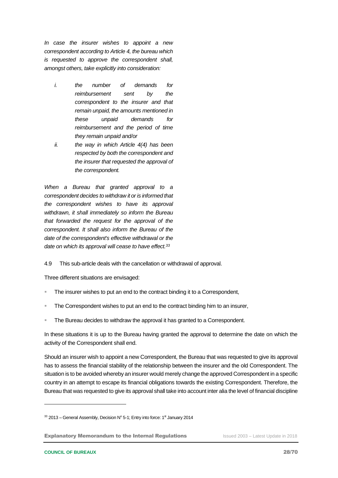*In case the insurer wishes to appoint a new correspondent according to Article 4, the bureau which is requested to approve the correspondent shall, amongst others, take explicitly into consideration:*

- *i. the number of demands for reimbursement sent by the correspondent to the insurer and that remain unpaid, the amounts mentioned in these unpaid demands for reimbursement and the period of time they remain unpaid and/or*
- *ii. the way in which Article 4(4) has been respected by both the correspondent and the insurer that requested the approval of the correspondent.*

*When a Bureau that granted approval to a correspondent decides to withdraw it or is informed that the correspondent wishes to have its approval withdrawn, it shall immediately so inform the Bureau that forwarded the request for the approval of the correspondent. It shall also inform the Bureau of the date of the correspondent's effective withdrawal or the date on which its approval will cease to have effect.<sup>33</sup>*

4.9 This sub-article deals with the cancellation or withdrawal of approval.

Three different situations are envisaged:

- The insurer wishes to put an end to the contract binding it to a Correspondent,
- The Correspondent wishes to put an end to the contract binding him to an insurer,
- The Bureau decides to withdraw the approval it has granted to a Correspondent.

In these situations it is up to the Bureau having granted the approval to determine the date on which the activity of the Correspondent shall end.

Should an insurer wish to appoint a new Correspondent, the Bureau that was requested to give its approval has to assess the financial stability of the relationship between the insurer and the old Correspondent. The situation is to be avoided whereby an insurer would merely change the approved Correspondent in a specific country in an attempt to escape its financial obligations towards the existing Correspondent. Therefore, the Bureau that was requested to give its approval shall take into account inter alia the level of financial discipline

 $33$  2013 – General Assembly, Decision N° 5-1; Entry into force: 1<sup>st</sup> January 2014

**Explanatory Memorandum to the Internal Regulations ISSUED 1888 ISSUED 1888 1889 1889 ISSUED 1889 1889 1899 1899**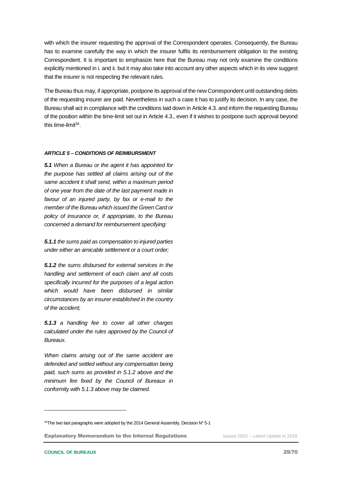with which the insurer requesting the approval of the Correspondent operates. Consequently, the Bureau has to examine carefully the way in which the insurer fulfils its reimbursement obligation to the existing Correspondent. It is important to emphasize here that the Bureau may not only examine the conditions explicitly mentioned in i. and ii. but it may also take into account any other aspects which in its view suggest that the insurer is not respecting the relevant rules.

The Bureau thus may, if appropriate, postpone its approval of the new Correspondent until outstanding debts of the requesting insurer are paid. Nevertheless in such a case it has to justify its decision. In any case, the Bureau shall act in compliance with the conditions laid down in Article 4.3. and inform the requesting Bureau of the position within the time-limit set out in Article 4.3., even if it wishes to postpone such approval beyond this time-limit<sup>34</sup>.

#### *ARTICLE 5 – CONDITIONS OF REIMBURSMENT*

*5.1 When a Bureau or the agent it has appointed for the purpose has settled all claims arising out of the same accident it shall send, within a maximum period of one year from the date of the last payment made in favour of an injured party, by fax or e-mail to the member of the Bureau which issued the Green Card or policy of insurance or, if appropriate, to the Bureau concerned a demand for reimbursement specifying:*

*5.1.1 the sums paid as compensation to injured parties under either an amicable settlement or a court order;*

*5.1.2 the sums disbursed for external services in the handling and settlement of each claim and all costs specifically incurred for the purposes of a legal action which would have been disbursed in similar circumstances by an insurer established in the country of the accident;*

*5.1.3 a handling fee to cover all other charges calculated under the rules approved by the Council of Bureaux.*

*When claims arising out of the same accident are defended and settled without any compensation being paid, such sums as provided in 5.1.2 above and the minimum fee fixed by the Council of Bureaux in conformity with 5.1.3 above may be claimed.*

Explanatory Memorandum to the Internal RegulationsIssued 2003 – Latest Update in 2018

 $34$ The two last paragraphs were adopted by the 2014 General Assembly, Decision Nº 5-1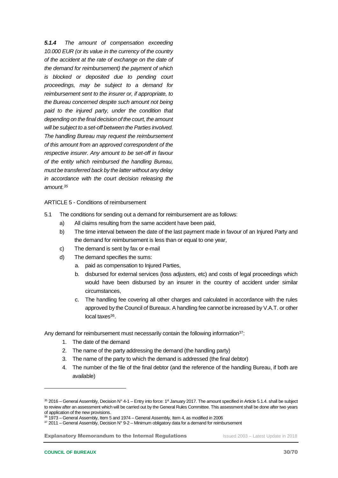*5.1.4 The amount of compensation exceeding 10.000 EUR (or its value in the currency of the country of the accident at the rate of exchange on the date of the demand for reimbursement) the payment of which is blocked or deposited due to pending court proceedings, may be subject to a demand for reimbursement sent to the insurer or, if appropriate, to the Bureau concerned despite such amount not being paid to the injured party, under the condition that depending on the final decision of the court, the amount will be subject to a set-off between the Parties involved. The handling Bureau may request the reimbursement of this amount from an approved correspondent of the respective insurer. Any amount to be set-off in favour of the entity which reimbursed the handling Bureau, must be transferred back by the latter without any delay in accordance with the court decision releasing the amount.<sup>35</sup>*

ARTICLE 5 - Conditions of reimbursement

- 5.1 The conditions for sending out a demand for reimbursement are as follows:
	- a) All claims resulting from the same accident have been paid,
	- b) The time interval between the date of the last payment made in favour of an Injured Party and the demand for reimbursement is less than or equal to one year,
	- c) The demand is sent by fax or e-mail
	- d) The demand specifies the sums:
		- a. paid as compensation to Injured Parties,
		- b. disbursed for external services (loss adjusters, etc) and costs of legal proceedings which would have been disbursed by an insurer in the country of accident under similar circumstances,
		- c. The handling fee covering all other charges and calculated in accordance with the rules approved by the Council of Bureaux. A handling fee cannot be increased by V.A.T. or other local taxes<sup>36</sup>.

Any demand for reimbursement must necessarily contain the following information<sup>37</sup>:

- 1. The date of the demand
- 2. The name of the party addressing the demand (the handling party)
- 3. The name of the party to which the demand is addressed (the final debtor)
- 4. The number of the file of the final debtor (and the reference of the handling Bureau, if both are available)

**Explanatory Memorandum to the Internal Regulations ISSUED 15 ISSUED 15 2018 ISSUED 16 2018** 

 $35$  2016 – General Assembly, Decision N° 4-1 – Entry into force: 1<sup>st</sup> January 2017. The amount specified in Article 5.1.4. shall be subject to review after an assessment which will be carried out by the General Rules Committee. This assessment shall be done after two years of application of the new provisions.

 $36$  1973 – General Assembly, Item 5 and 1974 – General Assembly, Item 4, as modified in 2006

 $37$  2011 – General Assembly, Decision N° 9-2 – Minimum obligatory data for a demand for reimbursement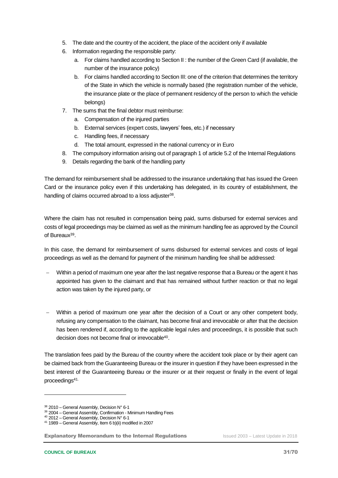- 5. The date and the country of the accident, the place of the accident only if available
- 6. Information regarding the responsible party:
	- a. For claims handled according to Section II : the number of the Green Card (if available, the number of the insurance policy)
	- b. For claims handled according to Section III: one of the criterion that determines the territory of the State in which the vehicle is normally based (the registration number of the vehicle, the insurance plate or the place of permanent residency of the person to which the vehicle belongs)
- 7. The sums that the final debtor must reimburse:
	- a. Compensation of the injured parties
	- b. External services (expert costs, lawyers' fees, etc.) if necessary
	- c. Handling fees, if necessary
	- d. The total amount, expressed in the national currency or in Euro
- 8. The compulsory information arising out of paragraph 1 of article 5.2 of the Internal Regulations
- 9. Details regarding the bank of the handling party

The demand for reimbursement shall be addressed to the insurance undertaking that has issued the Green Card or the insurance policy even if this undertaking has delegated, in its country of establishment, the handling of claims occurred abroad to a loss adjuster<sup>38</sup>.

Where the claim has not resulted in compensation being paid, sums disbursed for external services and costs of legal proceedings may be claimed as well as the minimum handling fee as approved by the Council of Bureaux<sup>39</sup>.

In this case, the demand for reimbursement of sums disbursed for external services and costs of legal proceedings as well as the demand for payment of the minimum handling fee shall be addressed:

- Within a period of maximum one year after the last negative response that a Bureau or the agent it has appointed has given to the claimant and that has remained without further reaction or that no legal action was taken by the injured party, or
- Within a period of maximum one year after the decision of a Court or any other competent body, refusing any compensation to the claimant, has become final and irrevocable or after that the decision has been rendered if, according to the applicable legal rules and proceedings, it is possible that such decision does not become final or irrevocable<sup>40</sup>.

The translation fees paid by the Bureau of the country where the accident took place or by their agent can be claimed back from the Guaranteeing Bureau or the insurer in question if they have been expressed in the best interest of the Guaranteeing Bureau or the insurer or at their request or finally in the event of legal proceedings41.

**Explanatory Memorandum to the Internal Regulations Issued 2003** – Latest Update in 2018

<sup>38 2010 –</sup> General Assembly, Decision N° 6-1

<sup>&</sup>lt;sup>39</sup> 2004 – General Assembly, Confirmation - Minimum Handling Fees

<sup>40</sup> 2012 – General Assembly, Decision N° 6-1

<sup>41</sup> 1989 – General Assembly, Item 6 b)(ii) modified in 2007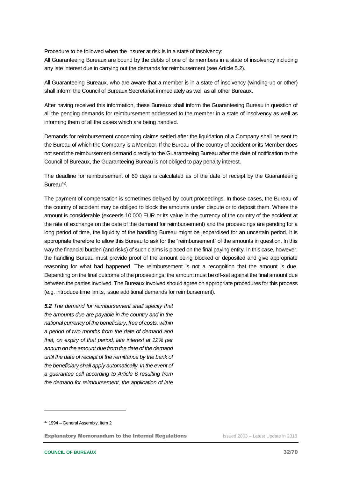Procedure to be followed when the insurer at risk is in a state of insolvency:

All Guaranteeing Bureaux are bound by the debts of one of its members in a state of insolvency including any late interest due in carrying out the demands for reimbursement (see Article 5.2).

All Guaranteeing Bureaux, who are aware that a member is in a state of insolvency (winding-up or other) shall inform the Council of Bureaux Secretariat immediately as well as all other Bureaux.

After having received this information, these Bureaux shall inform the Guaranteeing Bureau in question of all the pending demands for reimbursement addressed to the member in a state of insolvency as well as informing them of all the cases which are being handled.

Demands for reimbursement concerning claims settled after the liquidation of a Company shall be sent to the Bureau of which the Company is a Member. If the Bureau of the country of accident or its Member does not send the reimbursement demand directly to the Guaranteeing Bureau after the date of notification to the Council of Bureaux, the Guaranteeing Bureau is not obliged to pay penalty interest.

The deadline for reimbursement of 60 days is calculated as of the date of receipt by the Guaranteeing Bureau<sup>42</sup>.

The payment of compensation is sometimes delayed by court proceedings. In those cases, the Bureau of the country of accident may be obliged to block the amounts under dispute or to deposit them. Where the amount is considerable (exceeds 10.000 EUR or its value in the currency of the country of the accident at the rate of exchange on the date of the demand for reimbursement) and the proceedings are pending for a long period of time, the liquidity of the handling Bureau might be jeopardised for an uncertain period. It is appropriate therefore to allow this Bureau to ask for the "reimbursement" of the amounts in question. In this way the financial burden (and risks) of such claims is placed on the final paying entity. In this case, however, the handling Bureau must provide proof of the amount being blocked or deposited and give appropriate reasoning for what had happened. The reimbursement is not a recognition that the amount is due. Depending on the final outcome of the proceedings, the amount must be off-set against the final amount due between the parties involved. The Bureaux involved should agree on appropriate procedures for this process (e.g. introduce time limits, issue additional demands for reimbursement).

*5.2 The demand for reimbursement shall specify that the amounts due are payable in the country and in the national currency of the beneficiary, free of costs, within a period of two months from the date of demand and that, on expiry of that period, late interest at 12% per annum on the amount due from the date of the demand until the date of receipt of the remittance by the bank of the beneficiary shall apply automatically.In the event of a guarantee call according to Article 6 resulting from the demand for reimbursement, the application of late* 

<sup>42</sup> 1994 – General Assembly, Item 2

**Explanatory Memorandum to the Internal Regulations Issued 2003 – Latest Update in 2018**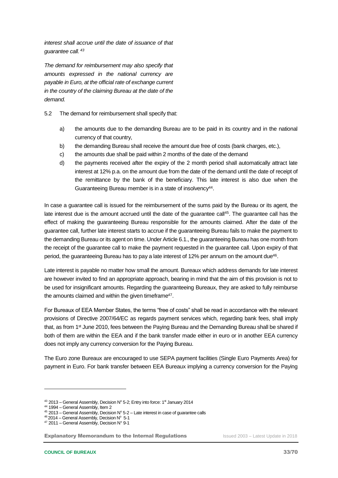*interest shall accrue until the date of issuance of that guarantee call. <sup>43</sup>*

*The demand for reimbursement may also specify that amounts expressed in the national currency are payable in Euro, at the official rate of exchange current in the country of the claiming Bureau at the date of the demand.*

5.2 The demand for reimbursement shall specify that:

- a) the amounts due to the demanding Bureau are to be paid in its country and in the national currency of that country,
- b) the demanding Bureau shall receive the amount due free of costs (bank charges, etc.),
- c) the amounts due shall be paid within 2 months of the date of the demand
- d) the payments received after the expiry of the 2 month period shall automatically attract late interest at 12% p.a. on the amount due from the date of the demand until the date of receipt of the remittance by the bank of the beneficiary. This late interest is also due when the Guaranteeing Bureau member is in a state of insolvency<sup>44</sup>.

In case a guarantee call is issued for the reimbursement of the sums paid by the Bureau or its agent, the late interest due is the amount accrued until the date of the guarantee call<sup>45</sup>. The guarantee call has the effect of making the guaranteeing Bureau responsible for the amounts claimed. After the date of the guarantee call, further late interest starts to accrue if the guaranteeing Bureau fails to make the payment to the demanding Bureau or its agent on time. Under Article 6.1., the guaranteeing Bureau has one month from the receipt of the guarantee call to make the payment requested in the guarantee call. Upon expiry of that period, the guaranteeing Bureau has to pay a late interest of 12% per annum on the amount due<sup>46</sup>.

Late interest is payable no matter how small the amount. Bureaux which address demands for late interest are however invited to find an appropriate approach, bearing in mind that the aim of this provision is not to be used for insignificant amounts. Regarding the guaranteeing Bureaux, they are asked to fully reimburse the amounts claimed and within the given timeframe<sup>47</sup>.

For Bureaux of EEA Member States, the terms "free of costs" shall be read in accordance with the relevant provisions of Directive 2007/64/EC as regards payment services which, regarding bank fees, shall imply that, as from 1st June 2010, fees between the Paying Bureau and the Demanding Bureau shall be shared if both of them are within the EEA and if the bank transfer made either in euro or in another EEA currency does not imply any currency conversion for the Paying Bureau.

The Euro zone Bureaux are encouraged to use SEPA payment facilities (Single Euro Payments Area) for payment in Euro. For bank transfer between EEA Bureaux implying a currency conversion for the Paying

 $43$  2013 – General Assembly, Decision Nº 5-2; Entry into force: 1<sup>st</sup> January 2014

<sup>44</sup> 1994 – General Assembly, Item 2

 $45$  2013 – General Assembly, Decision N° 5-2 – Late interest in case of guarantee calls

 $46$  2014 – General Assembly, Decision  $N^{\circ}$  5-1

<sup>47</sup> 2011 – General Assembly, Decision N° 9-1

**Explanatory Memorandum to the Internal Regulations ISSUED 15 ISSUED 15 2018 ISSUED 16 2018**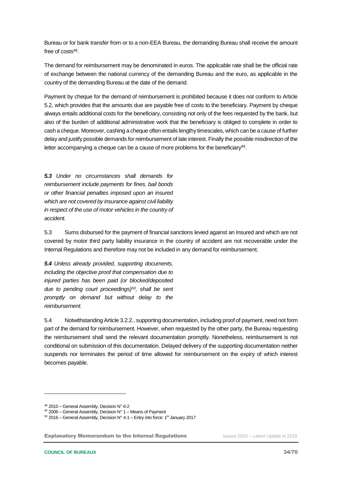Bureau or for bank transfer from or to a non-EEA Bureau, the demanding Bureau shall receive the amount free of costs<sup>48</sup>.

The demand for reimbursement may be denominated in euros. The applicable rate shall be the official rate of exchange between the national currency of the demanding Bureau and the euro, as applicable in the country of the demanding Bureau at the date of the demand.

Payment by cheque for the demand of reimbursement is prohibited because it does not conform to Article 5.2, which provides that the amounts due are payable free of costs to the beneficiary. Payment by cheque always entails additional costs for the beneficiary, consisting not only of the fees requested by the bank, but also of the burden of additional administrative work that the beneficiary is obliged to complete in order to cash a cheque. Moreover, cashing a cheque often entails lengthy timescales, which can be a cause of further delay and justify possible demands for reimbursement of late interest. Finally the possible misdirection of the letter accompanying a cheque can be a cause of more problems for the beneficiary $49$ .

*5.3 Under no circumstances shall demands for reimbursement include payments for fines, bail bonds or other financial penalties imposed upon an insured which are not covered by insurance against civil liability in respect of the use of motor vehicles in the country of accident.*

5.3 Sums disbursed for the payment of financial sanctions levied against an Insured and which are not covered by motor third party liability insurance in the country of accident are not recoverable under the Internal Regulations and therefore may not be included in any demand for reimbursement.

*5.4 Unless already provided, supporting documents, including the objective proof that compensation due to injured parties has been paid (or blocked/deposited due to pending court proceedings)<sup>50</sup>, shall be sent promptly on demand but without delay to the reimbursement.*

5.4 Notwithstanding Article 3.2*.*2., supporting documentation, including proof of payment, need not form part of the demand for reimbursement. However, when requested by the other party, the Bureau requesting the reimbursement shall send the relevant documentation promptly. Nonetheless, reimbursement is not conditional on submission of this documentation. Delayed delivery of the supporting documentation neither suspends nor terminates the period of time allowed for reimbursement on the expiry of which interest becomes payable.

<sup>48</sup> 2010 – General Assembly, Decision N° 6-2

<sup>49</sup> 2006 – General Assembly, Decision N° 1 – Means of Payment

 $50$  2016 – General Assembly, Decision N° 4-1 – Entry into force: 1<sup>st</sup> January 2017

**Explanatory Memorandum to the Internal Regulations ISSUED 15 ISSUED 15 2018 ISSUED 16 2018**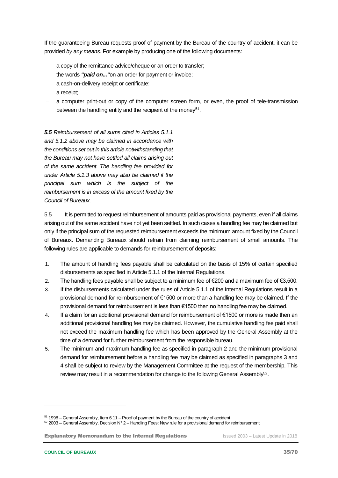If the guaranteeing Bureau requests proof of payment by the Bureau of the country of accident, it can be provided *by any means.* For example by producing one of the following documents:

- a copy of the remittance advice/cheque or an order to transfer;
- the words **"paid on..."** on an order for payment or invoice:
- a cash-on-delivery receipt or certificate;
- a receipt;
- a computer print-out or copy of the computer screen form, or even, the proof of tele-transmission between the handling entity and the recipient of the money<sup>51</sup>.

*5.5 Reimbursement of all sums cited in Articles 5.1.1 and 5.1.2 above may be claimed in accordance with the conditions set out in this article notwithstanding that the Bureau may not have settled all claims arising out of the same accident. The handling fee provided for under Article 5.1.3 above may also be claimed if the principal sum which is the subject of the reimbursement is in excess of the amount fixed by the Council of Bureaux.* 

5.5 It is permitted to request reimbursement of amounts paid as provisional payments, even if all claims arising out of the same accident have not yet been settled. In such cases a handling fee may be claimed but only if the principal sum of the requested reimbursement exceeds the minimum amount fixed by the Council of Bureaux. Demanding Bureaux should refrain from claiming reimbursement of small amounts. The following rules are applicable to demands for reimbursement of deposits:

- 1. The amount of handling fees payable shall be calculated on the basis of 15% of certain specified disbursements as specified in Article 5.1.1 of the Internal Regulations.
- 2. The handling fees payable shall be subject to a minimum fee of €200 and a maximum fee of €3,500.
- 3. If the disbursements calculated under the rules of Article 5.1.1 of the Internal Regulations result in a provisional demand for reimbursement of €1500 or more than a handling fee may be claimed. If the provisional demand for reimbursement is less than €1500 then no handling fee may be claimed.
- 4. If a claim for an additional provisional demand for reimbursement of €1500 or more is made then an additional provisional handling fee may be claimed. However, the cumulative handling fee paid shall not exceed the maximum handling fee which has been approved by the General Assembly at the time of a demand for further reimbursement from the responsible bureau.
- 5. The minimum and maximum handling fee as specified in paragraph 2 and the minimum provisional demand for reimbursement before a handling fee may be claimed as specified in paragraphs 3 and 4 shall be subject to review by the Management Committee at the request of the membership. This review may result in a recommendation for change to the following General Assembly<sup>52</sup>.

<sup>51</sup> 1998 – General Assembly, Item 6.11 – Proof of payment by the Bureau of the country of accident

<sup>52</sup> 2003 – General Assembly, Decision N° 2 – Handling Fees: New rule for a provisional demand for reimbursement

**Explanatory Memorandum to the Internal Regulations ISSUED 1888 ISSUED 1888 1889 1889 ISSUED 1889 1889 1899 1899**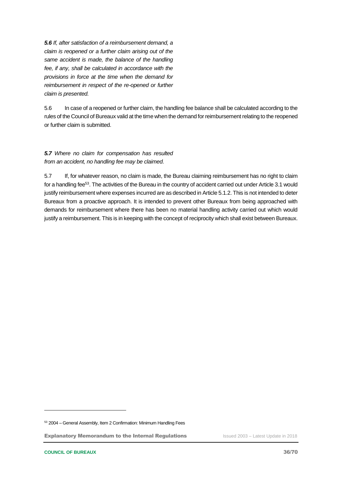*5.6 If, after satisfaction of a reimbursement demand, a claim is reopened or a further claim arising out of the same accident is made, the balance of the handling fee, if any, shall be calculated in accordance with the provisions in force at the time when the demand for reimbursement in respect of the re-opened or further claim is presented.*

5.6 In case of a reopened or further claim, the handling fee balance shall be calculated according to the rules of the Council of Bureaux valid at the time when the demand for reimbursement relating to the reopened or further claim is submitted.

*5.7 Where no claim for compensation has resulted from an accident, no handling fee may be claimed.* 

5.7 If, for whatever reason, no claim is made, the Bureau claiming reimbursement has no right to claim for a handling fee<sup>53</sup>. The activities of the Bureau in the country of accident carried out under Article 3.1 would justify reimbursement where expenses incurred are as described in Article 5.1.2. This is not intended to deter Bureaux from a proactive approach. It is intended to prevent other Bureaux from being approached with demands for reimbursement where there has been no material handling activity carried out which would justify a reimbursement. This is in keeping with the concept of reciprocity which shall exist between Bureaux.

<sup>&</sup>lt;sup>53</sup> 2004 – General Assembly, Item 2 Confirmation: Minimum Handling Fees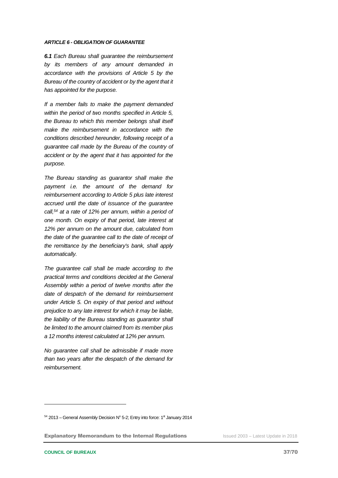#### *ARTICLE 6 - OBLIGATION OF GUARANTEE*

*6.1 Each Bureau shall guarantee the reimbursement by its members of any amount demanded in accordance with the provisions of Article 5 by the Bureau of the country of accident or by the agent that it has appointed for the purpose.* 

*If a member fails to make the payment demanded within the period of two months specified in Article 5, the Bureau to which this member belongs shall itself make the reimbursement in accordance with the conditions described hereunder, following receipt of a guarantee call made by the Bureau of the country of accident or by the agent that it has appointed for the purpose.* 

*The Bureau standing as guarantor shall make the payment i.e. the amount of the demand for reimbursement according to Article 5 plus late interest accrued until the date of issuance of the guarantee call,<sup>54</sup> at a rate of 12% per annum, within a period of one month. On expiry of that period, late interest at 12% per annum on the amount due, calculated from the date of the guarantee call to the date of receipt of the remittance by the beneficiary's bank, shall apply automatically.*

*The guarantee call shall be made according to the practical terms and conditions decided at the General Assembly within a period of twelve months after the date of despatch of the demand for reimbursement under Article 5. On expiry of that period and without prejudice to any late interest for which it may be liable, the liability of the Bureau standing as guarantor shall be limited to the amount claimed from its member plus a 12 months interest calculated at 12% per annum.* 

*No guarantee call shall be admissible if made more than two years after the despatch of the demand for reimbursement.*

 $54$  2013 – General Assembly Decision N° 5-2; Entry into force: 1<sup>st</sup> January 2014

Explanatory Memorandum to the Internal RegulationsIssued 2003 – Latest Update in 2018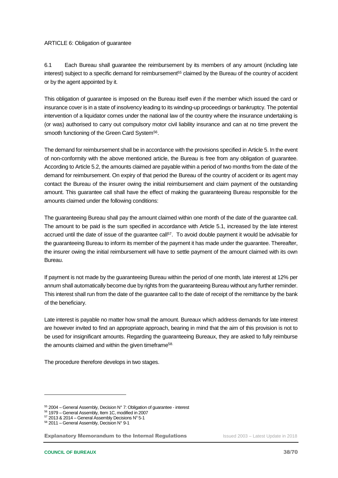#### ARTICLE 6: Obligation of guarantee

6.1 Each Bureau shall guarantee the reimbursement by its members of any amount (including late interest) subject to a specific demand for reimbursement<sup>55</sup> claimed by the Bureau of the country of accident or by the agent appointed by it.

This obligation of guarantee is imposed on the Bureau itself even if the member which issued the card or insurance cover is in a state of insolvency leading to its winding-up proceedings or bankruptcy. The potential intervention of a liquidator comes under the national law of the country where the insurance undertaking is (or was) authorised to carry out compulsory motor civil liability insurance and can at no time prevent the smooth functioning of the Green Card System<sup>56</sup>.

The demand for reimbursement shall be in accordance with the provisions specified in Article 5. In the event of non-conformity with the above mentioned article, the Bureau is free from any obligation of guarantee. According to Article 5.2, the amounts claimed are payable within a period of two months from the date of the demand for reimbursement. On expiry of that period the Bureau of the country of accident or its agent may contact the Bureau of the insurer owing the initial reimbursement and claim payment of the outstanding amount. This guarantee call shall have the effect of making the guaranteeing Bureau responsible for the amounts claimed under the following conditions:

The guaranteeing Bureau shall pay the amount claimed within one month of the date of the guarantee call. The amount to be paid is the sum specified in accordance with Article 5.1, increased by the late interest accrued until the date of issue of the guarantee call<sup>57</sup>. To avoid double payment it would be advisable for the guaranteeing Bureau to inform its member of the payment it has made under the guarantee. Thereafter, the insurer owing the initial reimbursement will have to settle payment of the amount claimed with its own **Bureau** 

If payment is not made by the guaranteeing Bureau within the period of one month, late interest at 12% per annum shall automatically become due by rights from the guaranteeing Bureau without any further reminder. This interest shall run from the date of the guarantee call to the date of receipt of the remittance by the bank of the beneficiary.

Late interest is payable no matter how small the amount. Bureaux which address demands for late interest are however invited to find an appropriate approach, bearing in mind that the aim of this provision is not to be used for insignificant amounts. Regarding the guaranteeing Bureaux, they are asked to fully reimburse the amounts claimed and within the given timeframe<sup>58.</sup>

The procedure therefore develops in two stages.

<sup>55</sup> 2004 – General Assembly, Decision N° 7: Obligation of guarantee - interest

<sup>56</sup> 1979 – General Assembly, Item 1C, modified in 2007

 $57$  2013 & 2014 – General Assembly Decisions  $N^{\circ}$  5-1

<sup>58</sup> 2011 – General Assembly, Decision N° 9-1

**Explanatory Memorandum to the Internal Regulations Issued 2003 – Latest Update in 2018**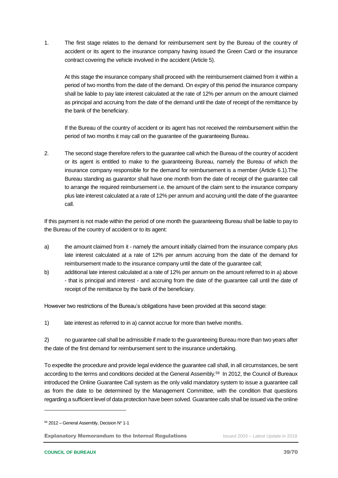1. The first stage relates to the demand for reimbursement sent by the Bureau of the country of accident or its agent to the insurance company having issued the Green Card or the insurance contract covering the vehicle involved in the accident (Article 5).

At this stage the insurance company shall proceed with the reimbursement claimed from it within a period of two months from the date of the demand. On expiry of this period the insurance company shall be liable to pay late interest calculated at the rate of 12% per annum on the amount claimed as principal and accruing from the date of the demand until the date of receipt of the remittance by the bank of the beneficiary.

If the Bureau of the country of accident or its agent has not received the reimbursement within the period of two months it may call on the guarantee of the guaranteeing Bureau.

2. The second stage therefore refers to the guarantee call which the Bureau of the country of accident or its agent is entitled to make to the guaranteeing Bureau, namely the Bureau of which the insurance company responsible for the demand for reimbursement is a member (Article 6.1).The Bureau standing as guarantor shall have one month from the date of receipt of the guarantee call to arrange the required reimbursement i.e. the amount of the claim sent to the insurance company plus late interest calculated at a rate of 12% per annum and accruing until the date of the guarantee call.

If this payment is not made within the period of one month the guaranteeing Bureau shall be liable to pay to the Bureau of the country of accident or to its agent:

- a) the amount claimed from it namely the amount initially claimed from the insurance company plus late interest calculated at a rate of 12% per annum accruing from the date of the demand for reimbursement made to the insurance company until the date of the guarantee call;
- b) additional late interest calculated at a rate of 12% per annum on the amount referred to in a) above - that is principal and interest - and accruing from the date of the guarantee call until the date of receipt of the remittance by the bank of the beneficiary.

However two restrictions of the Bureau's obligations have been provided at this second stage:

1) late interest as referred to in a) cannot accrue for more than twelve months.

2) no guarantee call shall be admissible if made to the guaranteeing Bureau more than two years after the date of the first demand for reimbursement sent to the insurance undertaking.

To expedite the procedure and provide legal evidence the guarantee call shall, in all circumstances, be sent according to the terms and conditions decided at the General Assembly.<sup>59</sup> In 2012, the Council of Bureaux introduced the Online Guarantee Call system as the only valid mandatory system to issue a guarantee call as from the date to be determined by the Management Committee, with the condition that questions regarding a sufficient level of data protection have been solved. Guarantee calls shall be issued via the online

Explanatory Memorandum to the Internal RegulationsIssued 2003 – Latest Update in 2018

 $59$  2012 – General Assembly, Decision N° 1-1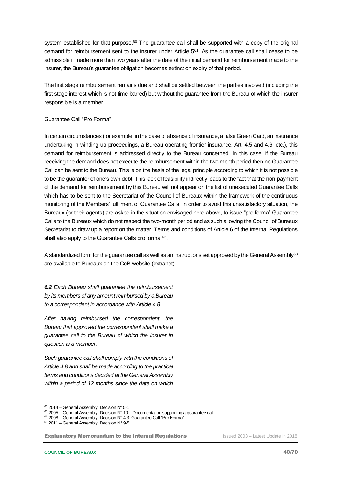system established for that purpose.<sup>60</sup> The quarantee call shall be supported with a copy of the original demand for reimbursement sent to the insurer under Article 5<sup>61</sup>. As the quarantee call shall cease to be admissible if made more than two years after the date of the initial demand for reimbursement made to the insurer, the Bureau's guarantee obligation becomes extinct on expiry of that period.

The first stage reimbursement remains due and shall be settled between the parties involved (including the first stage interest which is not time-barred) but without the guarantee from the Bureau of which the insurer responsible is a member.

#### Guarantee Call "Pro Forma"

In certain circumstances (for example, in the case of absence of insurance, a false Green Card, an insurance undertaking in winding-up proceedings, a Bureau operating frontier insurance, Art. 4.5 and 4.6, etc.), this demand for reimbursement is addressed directly to the Bureau concerned. In this case, if the Bureau receiving the demand does not execute the reimbursement within the two month period then no Guarantee Call can be sent to the Bureau. This is on the basis of the legal principle according to which it is not possible to be the guarantor of one's own debt. This lack of feasibility indirectly leads to the fact that the non-payment of the demand for reimbursement by this Bureau will not appear on the list of unexecuted Guarantee Calls which has to be sent to the Secretariat of the Council of Bureaux within the framework of the continuous monitoring of the Members' fulfilment of Guarantee Calls. In order to avoid this unsatisfactory situation, the Bureaux (or their agents) are asked in the situation envisaged here above, to issue "pro forma" Guarantee Calls to the Bureaux which do not respect the two-month period and as such allowing the Council of Bureaux Secretariat to draw up a report on the matter. Terms and conditions of Article 6 of the Internal Regulations shall also apply to the Guarantee Calls pro forma"<sup>62</sup>.

A standardized form for the guarantee call as well as an instructions set approved by the General Assembly<sup>63</sup> are available to Bureaux on the CoB website (extranet).

*6.2 Each Bureau shall guarantee the reimbursement by its members of any amount reimbursed by a Bureau to a correspondent in accordance with Article 4.8.*

*After having reimbursed the correspondent, the Bureau that approved the correspondent shall make a guarantee call to the Bureau of which the insurer in question is a member.*

*Such guarantee call shall comply with the conditions of Article 4.8 and shall be made according to the practical terms and conditions decided at the General Assembly within a period of 12 months since the date on which* 

 $60$  2014 – General Assembly, Decision N° 5-1

 $61$  2005 – General Assembly, Decision N° 10 – Documentation supporting a guarantee call

<sup>62</sup> 2008 – General Assembly, Decision N° 4.3: Guarantee Call "Pro Forma"

<sup>63 2011 –</sup> General Assembly, Decision N° 9-5

**Explanatory Memorandum to the Internal Regulations ISSUED 15 ISSUED 15 2018 ISSUED 16 2018**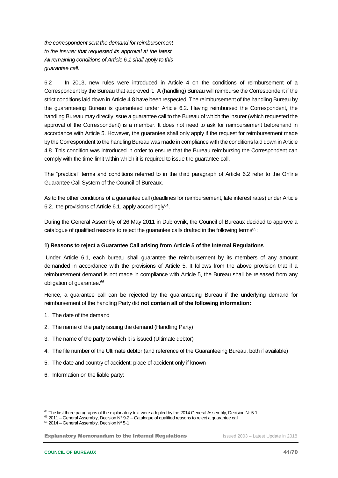*the correspondent sent the demand for reimbursement to the insurer that requested its approval at the latest. All remaining conditions of Article 6.1 shall apply to this guarantee call.*

6.2 In 2013, new rules were introduced in Article 4 on the conditions of reimbursement of a Correspondent by the Bureau that approved it. A (handling) Bureau will reimburse the Correspondent if the strict conditions laid down in Article 4.8 have been respected. The reimbursement of the handling Bureau by the guaranteeing Bureau is guaranteed under Article 6.2. Having reimbursed the Correspondent, the handling Bureau may directly issue a guarantee call to the Bureau of which the insurer (which requested the approval of the Correspondent) is a member. It does not need to ask for reimbursement beforehand in accordance with Article 5. However, the guarantee shall only apply if the request for reimbursement made by the Correspondent to the handling Bureau was made in compliance with the conditions laid down in Article 4.8. This condition was introduced in order to ensure that the Bureau reimbursing the Correspondent can comply with the time-limit within which it is required to issue the guarantee call.

The "practical" terms and conditions referred to in the third paragraph of Article 6.2 refer to the Online Guarantee Call System of the Council of Bureaux.

As to the other conditions of a guarantee call (deadlines for reimbursement, late interest rates) under Article 6.2., the provisions of Article 6.1. apply accordingly $64$ .

During the General Assembly of 26 May 2011 in Dubrovnik, the Council of Bureaux decided to approve a catalogue of qualified reasons to reject the guarantee calls drafted in the following terms<sup>65</sup>:

#### **1) Reasons to reject a Guarantee Call arising from Article 5 of the Internal Regulations**

Under Article 6.1, each bureau shall guarantee the reimbursement by its members of any amount demanded in accordance with the provisions of Article 5. It follows from the above provision that if a reimbursement demand is not made in compliance with Article 5, the Bureau shall be released from any obligation of guarantee.<sup>66</sup>

Hence, a guarantee call can be rejected by the guaranteeing Bureau if the underlying demand for reimbursement of the handling Party did **not contain all of the following information:** 

- 1. The date of the demand
- 2. The name of the party issuing the demand (Handling Party)
- 3. The name of the party to which it is issued (Ultimate debtor)
- 4. The file number of the Ultimate debtor (and reference of the Guaranteeing Bureau, both if available)
- 5. The date and country of accident; place of accident only if known
- 6. Information on the liable party:

 $64$  The first three paragraphs of the explanatory text were adopted by the 2014 General Assembly, Decision N° 5-1

 $65$  2011 – General Assembly, Decision N° 9-2 – Catalogue of qualified reasons to reject a guarantee call

 $66$  2014 – General Assembly, Decision N° 5-1

**Explanatory Memorandum to the Internal Regulations Issued 2003 – Latest Update in 2018**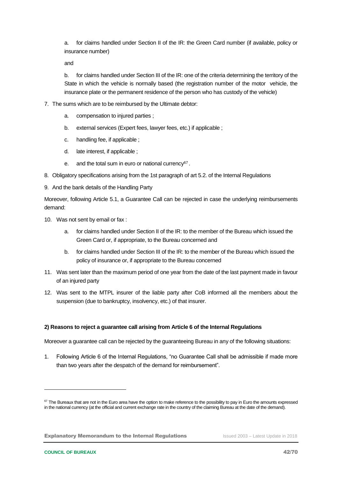a. for claims handled under Section II of the IR: the Green Card number (if available, policy or insurance number)

and

b. for claims handled under Section III of the IR: one of the criteria determining the territory of the State in which the vehicle is normally based (the registration number of the motor vehicle, the insurance plate or the permanent residence of the person who has custody of the vehicle)

- 7. The sums which are to be reimbursed by the Ultimate debtor:
	- a. compensation to injured parties ;
	- b. external services (Expert fees, lawyer fees, etc.) if applicable ;
	- c. handling fee, if applicable ;
	- d. late interest, if applicable ;
	- e. and the total sum in euro or national currency $67$ .
- 8. Obligatory specifications arising from the 1st paragraph of art 5.2. of the Internal Regulations
- 9. And the bank details of the Handling Party

Moreover, following Article 5.1, a Guarantee Call can be rejected in case the underlying reimbursements demand:

- 10. Was not sent by email or fax :
	- a. for claims handled under Section II of the IR: to the member of the Bureau which issued the Green Card or, if appropriate, to the Bureau concerned and
	- b. for claims handled under Section III of the IR: to the member of the Bureau which issued the policy of insurance or, if appropriate to the Bureau concerned
- 11. Was sent later than the maximum period of one year from the date of the last payment made in favour of an injured party
- 12. Was sent to the MTPL insurer of the liable party after CoB informed all the members about the suspension (due to bankruptcy, insolvency, etc.) of that insurer.

#### **2) Reasons to reject a guarantee call arising from Article 6 of the Internal Regulations**

Moreover a guarantee call can be rejected by the guaranteeing Bureau in any of the following situations:

1. Following Article 6 of the Internal Regulations, "no Guarantee Call shall be admissible if made more than two years after the despatch of the demand for reimbursement".

<sup>&</sup>lt;sup>67</sup> The Bureaux that are not in the Euro area have the option to make reference to the possibility to pay in Euro the amounts expressed in the national currency (at the official and current exchange rate in the country of the claiming Bureau at the date of the demand).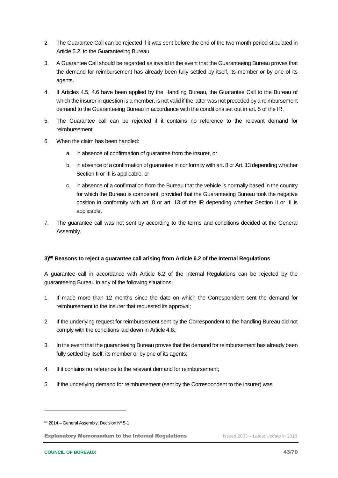- 2. The Guarantee Call can be rejected if it was sent before the end of the two-month period stipulated in Article 5.2. to the Guaranteeing Bureau.
- 3. A Guarantee Call should be regarded as invalid in the event that the Guaranteeing Bureau proves that the demand for reimbursement has already been fully settled by itself, its member or by one of its agents.
- 4. If Articles 4.5, 4.6 have been applied by the Handling Bureau, the Guarantee Call to the Bureau of which the insurer in question is a member, is not valid if the latter was not preceded by a reimbursement demand to the Guaranteeing Bureau in accordance with the conditions set out in art. 5 of the IR.
- 5. The Guarantee call can be rejected if it contains no reference to the relevant demand for reimbursement.
- 6. When the claim has been handled:
	- a. in absence of confirmation of guarantee from the insurer, or
	- b. in absence of a confirmation of guarantee in conformity with art. 8 or Art. 13 depending whether Section II or III is applicable, or
	- c. in absence of a confirmation from the Bureau that the vehicle is normally based in the country for which the Bureau is competent, provided that the Guaranteeing Bureau took the negative position in conformity with art. 8 or art. 13 of the IR depending whether Section II or III is applicable.
- 7. The guarantee call was not sent by according to the terms and conditions decided at the General Assembly.

#### **3)<sup>68</sup> Reasons to reject a guarantee call arising from Article 6.2 of the Internal Regulations**

A guarantee call in accordance with Article 6.2 of the Internal Regulations can be rejected by the guaranteeing Bureau in any of the following situations:

- 1. If made more than 12 months since the date on which the Correspondent sent the demand for reimbursement to the insurer that requested its approval;
- 2. If the underlying request for reimbursement sent by the Correspondent to the handling Bureau did not comply with the conditions laid down in Article 4.8.;
- 3. In the event that the guaranteeing Bureau proves that the demand for reimbursement has already been fully settled by itself, its member or by one of its agents;
- 4. If it contains no reference to the relevant demand for reimbursement;
- 5. If the underlying demand for reimbursement (sent by the Correspondent to the insurer) was

**Explanatory Memorandum to the Internal Regulations ISSUED 1888 ISSUED 1888 1889 1889 ISSUED 1889 1889 1899 1899** 

 $68$  2014 – General Assembly, Decision Nº 5-1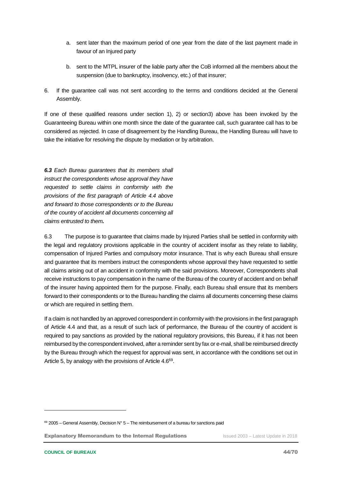- a. sent later than the maximum period of one year from the date of the last payment made in favour of an Injured party
- b. sent to the MTPL insurer of the liable party after the CoB informed all the members about the suspension (due to bankruptcy, insolvency, etc.) of that insurer;
- 6. If the guarantee call was not sent according to the terms and conditions decided at the General Assembly.

If one of these qualified reasons under section 1), 2) or section3) above has been invoked by the Guaranteeing Bureau within one month since the date of the guarantee call, such guarantee call has to be considered as rejected. In case of disagreement by the Handling Bureau, the Handling Bureau will have to take the initiative for resolving the dispute by mediation or by arbitration.

*6.3 Each Bureau guarantees that its members shall instruct the correspondents whose approval they have requested to settle claims in conformity with the provisions of the first paragraph of Article 4.4 above and forward to those correspondents or to the Bureau of the country of accident all documents concerning all claims entrusted to them.*

6.3 The purpose is to guarantee that claims made by Injured Parties shall be settled in conformity with the legal and regulatory provisions applicable in the country of accident insofar as they relate to liability, compensation of Injured Parties and compulsory motor insurance. That is why each Bureau shall ensure and guarantee that its members instruct the correspondents whose approval they have requested to settle all claims arising out of an accident in conformity with the said provisions. Moreover, Correspondents shall receive instructions to pay compensation in the name of the Bureau of the country of accident and on behalf of the insurer having appointed them for the purpose. Finally, each Bureau shall ensure that its members forward to their correspondents or to the Bureau handling the claims all documents concerning these claims or which are required in settling them.

If a claim is not handled by an approved correspondent in conformity with the provisions in the first paragraph of Article 4.4 and that, as a result of such lack of performance, the Bureau of the country of accident is required to pay sanctions as provided by the national regulatory provisions, this Bureau, if it has not been reimbursed by the correspondent involved, after a reminder sent by fax or e-mail, shall be reimbursed directly by the Bureau through which the request for approval was sent, in accordance with the conditions set out in Article 5, by analogy with the provisions of Article 4.6<sup>69</sup>.

 $69$  2005 – General Assembly, Decision N° 5 – The reimbursement of a bureau for sanctions paid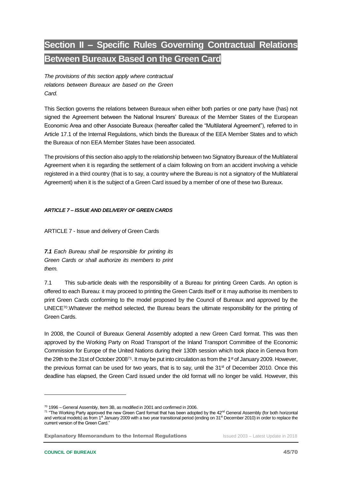# **Section II – Specific Rules Governing Contractual Relations Between Bureaux Based on the Green Card**

*The provisions of this section apply where contractual relations between Bureaux are based on the Green Card.* 

This Section governs the relations between Bureaux when either both parties or one party have (has) not signed the Agreement between the National Insurers' Bureaux of the Member States of the European Economic Area and other Associate Bureaux (hereafter called the "Multilateral Agreement"), referred to in Article 17.1 of the Internal Regulations, which binds the Bureaux of the EEA Member States and to which the Bureaux of non EEA Member States have been associated.

The provisions of this section also apply to the relationship between two Signatory Bureaux of the Multilateral Agreement when it is regarding the settlement of a claim following on from an accident involving a vehicle registered in a third country (that is to say, a country where the Bureau is not a signatory of the Multilateral Agreement) when it is the subject of a Green Card issued by a member of one of these two Bureaux.

#### *ARTICLE 7 – ISSUE AND DELIVERY OF GREEN CARDS*

ARTICLE 7 - Issue and delivery of Green Cards

*7.1 Each Bureau shall be responsible for printing its Green Cards or shall authorize its members to print them.*

7.1 This sub-article deals with the responsibility of a Bureau for printing Green Cards. An option is offered to each Bureau: it may proceed to printing the Green Cards itself or it may authorise its members to print Green Cards conforming to the model proposed by the Council of Bureaux and approved by the UNECE<sup>70</sup>.Whatever the method selected, the Bureau bears the ultimate responsibility for the printing of Green Cards.

In 2008, the Council of Bureaux General Assembly adopted a new Green Card format. This was then approved by the Working Party on Road Transport of the Inland Transport Committee of the Economic Commission for Europe of the United Nations during their 130th session which took place in Geneva from the 29th to the 31st of October 2008<sup>71</sup>. It may be put into circulation as from the 1<sup>st</sup> of January 2009. However, the previous format can be used for two years, that is to say, until the  $31<sup>st</sup>$  of December 2010. Once this deadline has elapsed, the Green Card issued under the old format will no longer be valid. However, this

<sup>70</sup> 1996 – General Assembly, Item 3B, as modified in 2001 and confirmed in 2006.

<sup>&</sup>lt;sup>71</sup> "The Working Party approved the new Green Card format that has been adopted by the 42<sup>nd</sup> General Assembly (for both horizontal and vertical models) as from 1<sup>st</sup> January 2009 with a two year transitional period (ending on 31<sup>st</sup> December 2010) in order to replace the current version of the Green Card."

Explanatory Memorandum to the Internal RegulationsIssued 2003 – Latest Update in 2018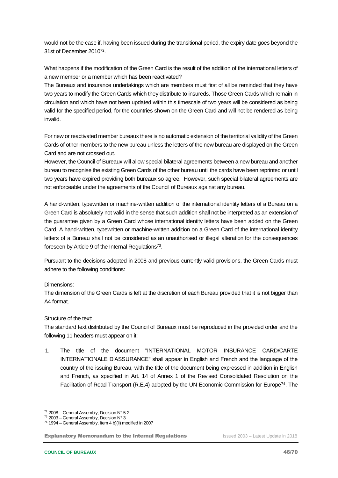would not be the case if, having been issued during the transitional period, the expiry date goes beyond the 31st of December 2010<sup>72</sup> .

What happens if the modification of the Green Card is the result of the addition of the international letters of a new member or a member which has been reactivated?

The Bureaux and insurance undertakings which are members must first of all be reminded that they have two years to modify the Green Cards which they distribute to insureds. Those Green Cards which remain in circulation and which have not been updated within this timescale of two years will be considered as being valid for the specified period, for the countries shown on the Green Card and will not be rendered as being invalid.

For new or reactivated member bureaux there is no automatic extension of the territorial validity of the Green Cards of other members to the new bureau unless the letters of the new bureau are displayed on the Green Card and are not crossed out.

However, the Council of Bureaux will allow special bilateral agreements between a new bureau and another bureau to recognise the existing Green Cards of the other bureau until the cards have been reprinted or until two years have expired providing both bureaux so agree. However, such special bilateral agreements are not enforceable under the agreements of the Council of Bureaux against any bureau.

A hand-written, typewritten or machine-written addition of the international identity letters of a Bureau on a Green Card is absolutely not valid in the sense that such addition shall not be interpreted as an extension of the guarantee given by a Green Card whose international identity letters have been added on the Green Card. A hand-written, typewritten or machine-written addition on a Green Card of the international identity letters of a Bureau shall not be considered as an unauthorised or illegal alteration for the consequences foreseen by Article 9 of the Internal Regulations<sup>73</sup>.

Pursuant to the decisions adopted in 2008 and previous currently valid provisions, the Green Cards must adhere to the following conditions:

#### Dimensions:

The dimension of the Green Cards is left at the discretion of each Bureau provided that it is not bigger than A4 format.

#### Structure of the text:

The standard text distributed by the Council of Bureaux must be reproduced in the provided order and the following 11 headers must appear on it:

1. The title of the document "INTERNATIONAL MOTOR INSURANCE CARD/CARTE INTERNATIONALE D'ASSURANCE" shall appear in English and French and the language of the country of the issuing Bureau, with the title of the document being expressed in addition in English and French, as specified in Art. 14 of Annex 1 of the Revised Consolidated Resolution on the Facilitation of Road Transport (R.E.4) adopted by the UN Economic Commission for Europe<sup>74</sup>. The

**Explanatory Memorandum to the Internal Regulations ISSUED 15 ISSUED 15 2018 ISSUED 16 2018** 

<sup>72</sup> 2008 – General Assembly, Decision N° 5-2

<sup>73</sup> 2003 – General Assembly, Decision N° 3

<sup>74</sup> 1994 – General Assembly, Item 4 b)(ii) modified in 2007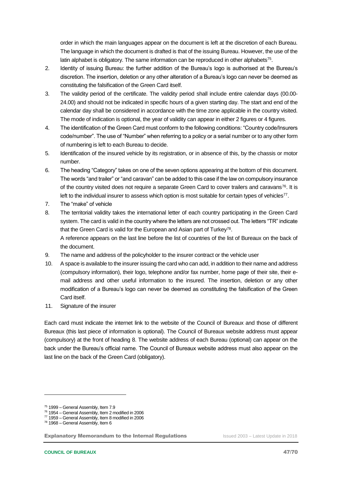order in which the main languages appear on the document is left at the discretion of each Bureau. The language in which the document is drafted is that of the issuing Bureau. However, the use of the latin alphabet is obligatory. The same information can be reproduced in other alphabets<sup>75</sup>.

- 2. Identity of issuing Bureau: the further addition of the Bureau's logo is authorised at the Bureau's discretion. The insertion, deletion or any other alteration of a Bureau's logo can never be deemed as constituting the falsification of the Green Card itself.
- 3. The validity period of the certificate. The validity period shall include entire calendar days (00.00- 24.00) and should not be indicated in specific hours of a given starting day. The start and end of the calendar day shall be considered in accordance with the time zone applicable in the country visited. The mode of indication is optional, the year of validity can appear in either 2 figures or 4 figures.
- 4. The identification of the Green Card must conform to the following conditions: "Country code/Insurers code/number". The use of "Number" when referring to a policy or a serial number or to any other form of numbering is left to each Bureau to decide.
- 5. Identification of the insured vehicle by its registration, or in absence of this, by the chassis or motor number.
- 6. The heading "Category" takes on one of the seven options appearing at the bottom of this document. The words "and trailer" or "and caravan" can be added to this case if the law on compulsory insurance of the country visited does not require a separate Green Card to cover trailers and caravans<sup>76</sup>. It is left to the individual insurer to assess which option is most suitable for certain types of vehicles<sup>77</sup>.
- 7. The "make" of vehicle
- 8. The territorial validity takes the international letter of each country participating in the Green Card system. The card is valid in the country where the letters are not crossed out. The letters "TR" indicate that the Green Card is valid for the European and Asian part of Turkey<sup>78</sup>. A reference appears on the last line before the list of countries of the list of Bureaux on the back of the document.
- 9. The name and address of the policyholder to the insurer contract or the vehicle user
- 10. A space is available to the insurer issuing the card who can add, in addition to their name and address (compulsory information), their logo, telephone and/or fax number, home page of their site, their email address and other useful information to the insured. The insertion, deletion or any other modification of a Bureau's logo can never be deemed as constituting the falsification of the Green Card itself.
- 11. Signature of the insurer

Each card must indicate the internet link to the website of the Council of Bureaux and those of different Bureaux (this last piece of information is optional). The Council of Bureaux website address must appear (compulsory) at the front of heading 8. The website address of each Bureau (optional) can appear on the back under the Bureau's official name. The Council of Bureaux website address must also appear on the last line on the back of the Green Card (obligatory).

<sup>75</sup> 1999 – General Assembly, Item 7.9

<sup>76</sup> 1954 – General Assembly, Item 2 modified in 2006

<sup>77</sup> 1959 – General Assembly, Item 8 modified in 2006

<sup>78</sup> 1968 – General Assembly, Item 6

Explanatory Memorandum to the Internal RegulationsIssued 2003 – Latest Update in 2018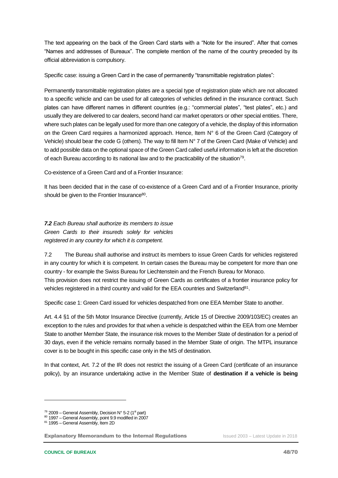The text appearing on the back of the Green Card starts with a "Note for the insured". After that comes "Names and addresses of Bureaux". The complete mention of the name of the country preceded by its official abbreviation is compulsory.

Specific case: issuing a Green Card in the case of permanently "transmittable registration plates":

Permanently transmittable registration plates are a special type of registration plate which are not allocated to a specific vehicle and can be used for all categories of vehicles defined in the insurance contract. Such plates can have different names in different countries (e.g.: "commercial plates", "test plates", etc.) and usually they are delivered to car dealers, second hand car market operators or other special entities. There, where such plates can be legally used for more than one category of a vehicle, the display of this information on the Green Card requires a harmonized approach. Hence, Item N° 6 of the Green Card (Category of Vehicle) should bear the code G (others). The way to fill Item N° 7 of the Green Card (Make of Vehicle) and to add possible data on the optional space of the Green Card called useful information is left at the discretion of each Bureau according to its national law and to the practicability of the situation<sup>79</sup>.

Co-existence of a Green Card and of a Frontier Insurance:

It has been decided that in the case of co-existence of a Green Card and of a Frontier Insurance, priority should be given to the Frontier Insurance<sup>80</sup>.

*7.2 Each Bureau shall authorize its members to issue Green Cards to their insureds solely for vehicles registered in any country for which it is competent.*

7.2 The Bureau shall authorise and instruct its members to issue Green Cards for vehicles registered in any country for which it is competent. In certain cases the Bureau may be competent for more than one country - for example the Swiss Bureau for Liechtenstein and the French Bureau for Monaco. This provision does not restrict the issuing of Green Cards as certificates of a frontier insurance policy for vehicles registered in a third country and valid for the EEA countries and Switzerland<sup>81</sup>.

Specific case 1: Green Card issued for vehicles despatched from one EEA Member State to another.

Art. 4.4 §1 of the 5th Motor Insurance Directive (currently, Article 15 of Directive 2009/103/EC) creates an exception to the rules and provides for that when a vehicle is despatched within the EEA from one Member State to another Member State, the insurance risk moves to the Member State of destination for a period of 30 days, even if the vehicle remains normally based in the Member State of origin. The MTPL insurance cover is to be bought in this specific case only in the MS of destination.

In that context, Art. 7.2 of the IR does not restrict the issuing of a Green Card (certificate of an insurance policy), by an insurance undertaking active in the Member State of **destination if a vehicle is being** 

 $79$  2009 – General Assembly, Decision N° 5-2 (1<sup>st</sup> part)

<sup>80 1997 –</sup> General Assembly, point 9.9 modified in 2007

<sup>81 1995 –</sup> General Assembly, Item 2D

**Explanatory Memorandum to the Internal Regulations ISSUED 15 ISSUED 15 2018 ISSUED 16 2018**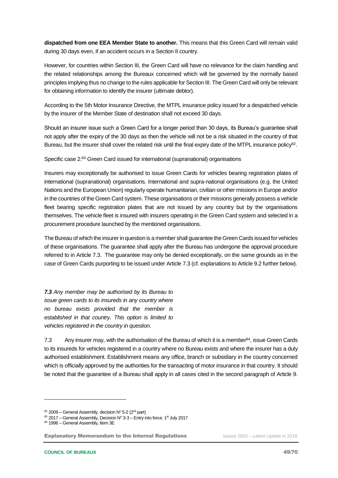**dispatched from one EEA Member State to another.** This means that this Green Card will remain valid during 30 days even, if an accident occurs in a Section II country.

However, for countries within Section III, the Green Card will have no relevance for the claim handling and the related relationships among the Bureaux concerned which will be governed by the normally based principles implying thus no change to the rules applicable for Section III. The Green Card will only be relevant for obtaining information to identify the insurer (ultimate debtor).

According to the 5th Motor Insurance Directive, the MTPL insurance policy issued for a despatched vehicle by the insurer of the Member State of destination shall not exceed 30 days.

Should an insurer issue such a Green Card for a longer period than 30 days, its Bureau's guarantee shall not apply after the expiry of the 30 days as then the vehicle will not be a risk situated in the country of that Bureau, but the insurer shall cover the related risk until the final expiry date of the MTPL insurance policy<sup>82</sup>.

Specific case 2:<sup>83</sup> Green Card issued for international (supranational) organisations

Insurers may exceptionally be authorised to issue Green Cards for vehicles bearing registration plates of international (supranational) organisations. International and supra-national organisations (e.g. the United Nations and the European Union) regularly operate humanitarian, civilian or other missions in Europe and/or in the countries of the Green Card system. These organisations or their missions generally possess a vehicle fleet bearing specific registration plates that are not issued by any country but by the organisations themselves. The vehicle fleet is insured with insurers operating in the Green Card system and selected in a procurement procedure launched by the mentioned organisations.

The Bureau of which the insurer in question is a member shall guarantee the Green Cards issued for vehicles of these organisations. The guarantee shall apply after the Bureau has undergone the approval procedure referred to in Article 7.3. The guarantee may only be denied exceptionally, on the same grounds as in the case of Green Cards purporting to be issued under Article 7.3 (cf. explanations to Article 9.2 further below).

*7.3 Any member may be authorised by its Bureau to issue green cards to its insureds in any country where no bureau exists provided that the member is established in that country. This option is limited to vehicles registered in the country in question.* 

7.3 Any insurer may, with the authorisation of the Bureau of which it is a member<sup>84</sup>, issue Green Cards to its insureds for vehicles registered in a country where no Bureau exists and where the insurer has a duly authorised establishment. Establishment means any office, branch or subsidiary in the country concerned which is officially approved by the authorities for the transacting of motor insurance in that country. It should be noted that the guarantee of a Bureau shall apply in all cases cited in the second paragraph of Article 9.

 $82$  2009 – General Assembly, decision N° 5-2 (2<sup>nd</sup> part)

 $83$  2017 – General Assembly, Decision N° 3-3 – Entry into force: 1<sup>st</sup> July 2017

<sup>84 1996 –</sup> General Assembly, Item 3E

**Explanatory Memorandum to the Internal Regulations ISSUED 15 ISSUED 15 2018 ISSUED 16 2018**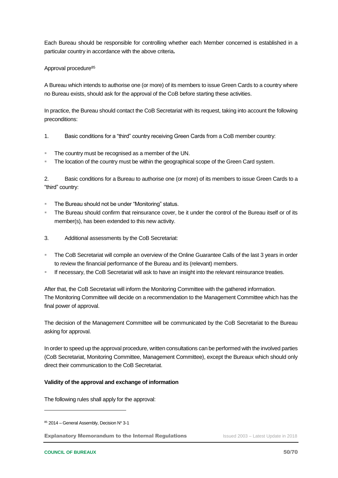Each Bureau should be responsible for controlling whether each Member concerned is established in a particular country in accordance with the above criteria**.**

#### Approval procedure<sup>85</sup>

A Bureau which intends to authorise one (or more) of its members to issue Green Cards to a country where no Bureau exists, should ask for the approval of the CoB before starting these activities.

In practice, the Bureau should contact the CoB Secretariat with its request, taking into account the following preconditions:

- 1. Basic conditions for a "third" country receiving Green Cards from a CoB member country:
- The country must be recognised as a member of the UN.
- The location of the country must be within the geographical scope of the Green Card system.

2. Basic conditions for a Bureau to authorise one (or more) of its members to issue Green Cards to a "third" country:

- The Bureau should not be under "Monitoring" status.
- The Bureau should confirm that reinsurance cover, be it under the control of the Bureau itself or of its member(s), has been extended to this new activity.
- 3. Additional assessments by the CoB Secretariat:
- The CoB Secretariat will compile an overview of the Online Guarantee Calls of the last 3 years in order to review the financial performance of the Bureau and its (relevant) members.
- If necessary, the CoB Secretariat will ask to have an insight into the relevant reinsurance treaties.

After that, the CoB Secretariat will inform the Monitoring Committee with the gathered information. The Monitoring Committee will decide on a recommendation to the Management Committee which has the final power of approval.

The decision of the Management Committee will be communicated by the CoB Secretariat to the Bureau asking for approval.

In order to speed up the approval procedure, written consultations can be performed with the involved parties (CoB Secretariat, Monitoring Committee, Management Committee), except the Bureaux which should only direct their communication to the CoB Secretariat.

#### **Validity of the approval and exchange of information**

The following rules shall apply for the approval:

**Explanatory Memorandum to the Internal Regulations ISSUED 1888 ISSUED 1888 1889 1889 ISSUED 1889 1889 1899 1899** 

<sup>85 2014 –</sup> General Assembly, Decision Nº 3-1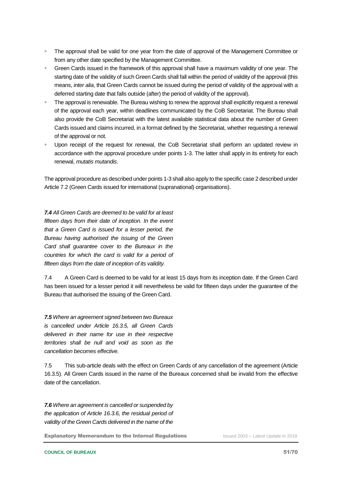- The approval shall be valid for one year from the date of approval of the Management Committee or from any other date specified by the Management Committee.
- Green Cards issued in the framework of this approval shall have a maximum validity of one year. The starting date of the validity of such Green Cards shall fall within the period of validity of the approval (this means, *inter alia*, that Green Cards cannot be issued during the period of validity of the approval with a deferred starting date that falls outside (after) the period of validity of the approval).
- The approval is renewable. The Bureau wishing to renew the approval shall explicitly request a renewal of the approval each year, within deadlines communicated by the CoB Secretariat. The Bureau shall also provide the CoB Secretariat with the latest available statistical data about the number of Green Cards issued and claims incurred, in a format defined by the Secretariat, whether requesting a renewal of the approval or not.
- Upon receipt of the request for renewal, the CoB Secretariat shall perform an updated review in accordance with the approval procedure under points 1-3. The latter shall apply in its entirety for each renewal, *mutatis mutandis*.

The approval procedure as described under points 1-3 shall also apply to the specific case 2 described under Article 7.2 (Green Cards issued for international (supranational) organisations).

*7.4 All Green Cards are deemed to be valid for at least fifteen days from their date of inception. In the event that a Green Card is issued for a lesser period, the Bureau having authorised the issuing of the Green Card shall guarantee cover to the Bureaux in the countries for which the card is valid for a period of fifteen days from the date of inception of its validity.*

7.4 A Green Card is deemed to be valid for at least 15 days from its inception date. If the Green Card has been issued for a lesser period it will nevertheless be valid for fifteen days under the guarantee of the Bureau that authorised the issuing of the Green Card.

*7.5 Where an agreement signed between two Bureaux is cancelled under Article 16.3.5, all Green Cards delivered in their name for use in their respective territories shall be null and void as soon as the cancellation becomes effective.*

7.5 This sub-article deals with the effect on Green Cards of any cancellation of the agreement (Article 16.3.5). All Green Cards issued in the name of the Bureaux concerned shall be invalid from the effective date of the cancellation.

*7.6 Where an agreement is cancelled or suspended by the application of Article 16.3.6, the residual period of validity of the Green Cards delivered in the name of the* 

**Explanatory Memorandum to the Internal Regulations ISSUED 1888 ISSUED 1888 1889 1889 ISSUED 1889 1889 1899 1899**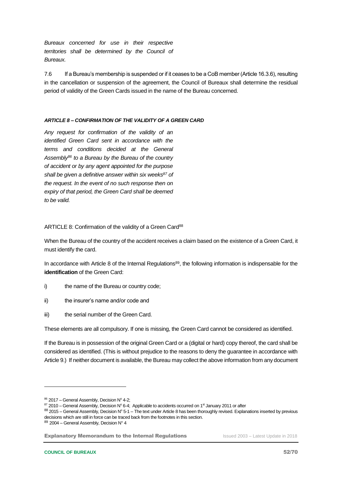*Bureaux concerned for use in their respective territories shall be determined by the Council of Bureaux.*

7.6 If a Bureau's membership is suspended or if it ceases to be a CoB member (Article 16.3.6), resulting in the cancellation or suspension of the agreement, the Council of Bureaux shall determine the residual period of validity of the Green Cards issued in the name of the Bureau concerned.

#### *ARTICLE 8 – CONFIRMATION OF THE VALIDITY OF A GREEN CARD*

*Any request for confirmation of the validity of an identified Green Card sent in accordance with the terms and conditions decided at the General Assembly<sup>86</sup> to a Bureau by the Bureau of the country of accident or by any agent appointed for the purpose shall be given a definitive answer within six weeks<sup>87</sup> of the request. In the event of no such response then on expiry of that period, the Green Card shall be deemed to be valid.* 

ARTICLE 8: Confirmation of the validity of a Green Card<sup>88</sup>

When the Bureau of the country of the accident receives a claim based on the existence of a Green Card, it must identify the card.

In accordance with Article 8 of the Internal Regulations<sup>89</sup>, the following information is indispensable for the **identification** of the Green Card:

- i) the name of the Bureau or country code;
- ii) the insurer's name and/or code and
- iii) the serial number of the Green Card.

These elements are all compulsory. If one is missing, the Green Card cannot be considered as identified.

If the Bureau is in possession of the original Green Card or a (digital or hard) copy thereof, the card shall be considered as identified. (This is without prejudice to the reasons to deny the guarantee in accordance with Article 9.) If neither document is available, the Bureau may collect the above information from any document

 $88$  2015 – General Assembly, Decision N° 5-1 – The text under Article 8 has been thoroughly revised. Explanations inserted by previous decisions which are still in force can be traced back from the footnotes in this section.

**Explanatory Memorandum to the Internal Regulations ISSUED 15 ISSUED 15 2018 ISSUED 16 2018** 

 $86$  2017 – General Assembly, Decision N° 4-2;

<sup>87 2010 –</sup> General Assembly, Decision Nº 6-4; Applicable to accidents occurred on 1<sup>st</sup> January 2011 or after

<sup>89</sup> 2004 – General Assembly, Decision N° 4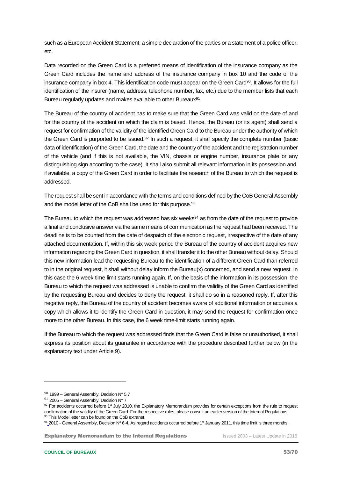such as a European Accident Statement, a simple declaration of the parties or a statement of a police officer, etc.

Data recorded on the Green Card is a preferred means of identification of the insurance company as the Green Card includes the name and address of the insurance company in box 10 and the code of the insurance company in box 4. This identification code must appear on the Green Card<sup>90</sup>. It allows for the full identification of the insurer (name, address, telephone number, fax, etc.) due to the member lists that each Bureau regularly updates and makes available to other Bureaux<sup>91</sup>.

The Bureau of the country of accident has to make sure that the Green Card was valid on the date of and for the country of the accident on which the claim is based. Hence, the Bureau (or its agent) shall send a request for confirmation of the validity of the identified Green Card to the Bureau under the authority of which the Green Card is purported to be issued.<sup>92</sup> In such a request, it shall specify the complete number (basic data of identification) of the Green Card, the date and the country of the accident and the registration number of the vehicle (and if this is not available, the VIN, chassis or engine number, insurance plate or any distinguishing sign according to the case). It shall also submit all relevant information in its possession and, if available, a copy of the Green Card in order to facilitate the research of the Bureau to which the request is addressed.

The request shall be sent in accordance with the terms and conditions defined by the CoB General Assembly and the model letter of the CoB shall be used for this purpose.<sup>93</sup>

The Bureau to which the request was addressed has six weeks<sup>94</sup> as from the date of the request to provide a final and conclusive answer via the same means of communication as the request had been received. The deadline is to be counted from the date of despatch of the electronic request, irrespective of the date of any attached documentation. If, within this six week period the Bureau of the country of accident acquires new information regarding the Green Card in question, it shall transfer it to the other Bureau without delay. Should this new information lead the requesting Bureau to the identification of a different Green Card than referred to in the original request, it shall without delay inform the Bureau(x) concerned, and send a new request. In this case the 6 week time limit starts running again. If, on the basis of the information in its possession, the Bureau to which the request was addressed is unable to confirm the validity of the Green Card as identified by the requesting Bureau and decides to deny the request, it shall do so in a reasoned reply. If, after this negative reply, the Bureau of the country of accident becomes aware of additional information or acquires a copy which allows it to identify the Green Card in question, it may send the request for confirmation once more to the other Bureau. In this case, the 6 week time-limit starts running again.

If the Bureau to which the request was addressed finds that the Green Card is false or unauthorised, it shall express its position about its guarantee in accordance with the procedure described further below (in the explanatory text under Article 9).

**Explanatory Memorandum to the Internal Regulations ISSUED 1888 ISSUED 2003** – Latest Update in 2018

<sup>90 1999 –</sup> General Assembly, Decision N° 5.7

<sup>91</sup> 2005 – General Assembly, Decision N° 7

<sup>92</sup> For accidents occurred before 1st July 2010, the Explanatory Memorandum provides for certain exceptions from the rule to request confirmation of the validity of the Green Card. For the respective rules, please consult an earlier version of the Internal Regulations. 93 This Model letter can be found on the CoB extranet.

<sup>94</sup>\_2010 - General Assembly, Decision Nº 6-4. As regard accidents occurred before 1<sup>st</sup> January 2011, this time limit is three months.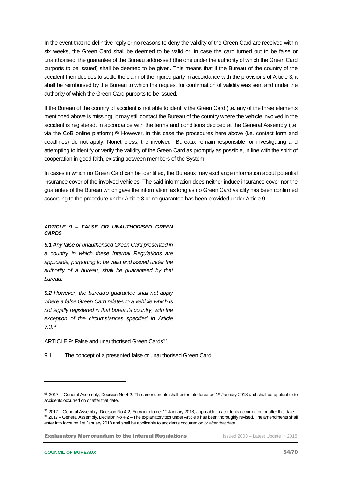In the event that no definitive reply or no reasons to deny the validity of the Green Card are received within six weeks, the Green Card shall be deemed to be valid or, in case the card turned out to be false or unauthorised, the guarantee of the Bureau addressed (the one under the authority of which the Green Card purports to be issued) shall be deemed to be given. This means that if the Bureau of the country of the accident then decides to settle the claim of the injured party in accordance with the provisions of Article 3, it shall be reimbursed by the Bureau to which the request for confirmation of validity was sent and under the authority of which the Green Card purports to be issued.

If the Bureau of the country of accident is not able to identify the Green Card (i.e. any of the three elements mentioned above is missing), it may still contact the Bureau of the country where the vehicle involved in the accident is registered, in accordance with the terms and conditions decided at the General Assembly (i.e. via the CoB online platform).<sup>95</sup> However, in this case the procedures here above (i.e. contact form and deadlines) do not apply. Nonetheless, the involved Bureaux remain responsible for investigating and attempting to identify or verify the validity of the Green Card as promptly as possible, in line with the spirit of cooperation in good faith, existing between members of the System.

In cases in which no Green Card can be identified, the Bureaux may exchange information about potential insurance cover of the involved vehicles. The said information does neither induce insurance cover nor the guarantee of the Bureau which gave the information, as long as no Green Card validity has been confirmed according to the procedure under Article 8 or no guarantee has been provided under Article 9.

#### *ARTICLE 9 – FALSE OR UNAUTHORISED GREEN CARDS*

*9.1 Any false or unauthorised Green Card presented in a country in which these Internal Regulations are applicable, purporting to be valid and issued under the authority of a bureau, shall be guaranteed by that bureau.*

*9.2 However, the bureau's guarantee shall not apply where a false Green Card relates to a vehicle which is not legally registered in that bureau's country, with the exception of the circumstances specified in Article 7.3. 96*

ARTICLE 9: False and unauthorised Green Cards<sup>97</sup>

9.1. The concept of a presented false or unauthorised Green Card

**Explanatory Memorandum to the Internal Regulations ISSUED 1888 ISSUED 2003** – Latest Update in 2018

<sup>95 2017 –</sup> General Assembly, Decision No 4-2. The amendments shall enter into force on 1<sup>st</sup> January 2018 and shall be applicable to accidents occurred on or after that date.

<sup>96 2017 –</sup> General Assembly, Decision No 4-2; Entry into force: 1st January 2018, applicable to accidents occurred on or after this date. 97 2017 – General Assembly, Decision No 4-2 – The explanatory text under Article 9 has been thoroughly revised. The amendments shall enter into force on 1st January 2018 and shall be applicable to accidents occurred on or after that date.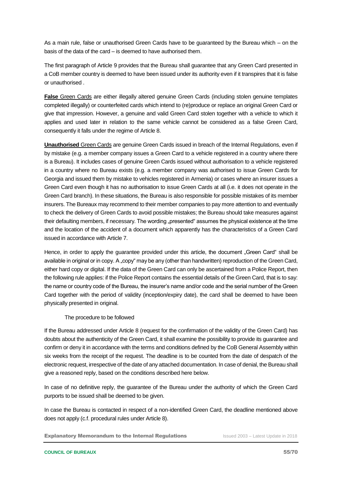As a main rule, false or unauthorised Green Cards have to be guaranteed by the Bureau which – on the basis of the data of the card – is deemed to have authorised them.

The first paragraph of Article 9 provides that the Bureau shall guarantee that any Green Card presented in a CoB member country is deemed to have been issued under its authority even if it transpires that it is false or unauthorised .

**False** Green Cards are either illegally altered genuine Green Cards (including stolen genuine templates completed illegally) or counterfeited cards which intend to (re)produce or replace an original Green Card or give that impression. However, a genuine and valid Green Card stolen together with a vehicle to which it applies and used later in relation to the same vehicle cannot be considered as a false Green Card, consequently it falls under the regime of Article 8.

**Unauthorised** Green Cards are genuine Green Cards issued in breach of the Internal Regulations, even if by mistake (e.g. a member company issues a Green Card to a vehicle registered in a country where there is a Bureau). It includes cases of genuine Green Cards issued without authorisation to a vehicle registered in a country where no Bureau exists (e.g. a member company was authorised to issue Green Cards for Georgia and issued them by mistake to vehicles registered in Armenia) or cases where an insurer issues a Green Card even though it has no authorisation to issue Green Cards at all (i.e. it does not operate in the Green Card branch). In these situations, the Bureau is also responsible for possible mistakes of its member insurers. The Bureaux may recommend to their member companies to pay more attention to and eventually to check the delivery of Green Cards to avoid possible mistakes; the Bureau should take measures against their defaulting members, if necessary. The wording "presented" assumes the physical existence at the time and the location of the accident of a document which apparently has the characteristics of a Green Card issued in accordance with Article 7.

Hence, in order to apply the quarantee provided under this article, the document "Green Card" shall be available in original or in copy. A "copy" may be any (other than handwritten) reproduction of the Green Card, either hard copy or digital. If the data of the Green Card can only be ascertained from a Police Report, then the following rule applies: if the Police Report contains the essential details of the Green Card, that is to say: the name or country code of the Bureau, the insurer's name and/or code and the serial number of the Green Card together with the period of validity (inception/expiry date), the card shall be deemed to have been physically presented in original.

#### The procedure to be followed

If the Bureau addressed under Article 8 (request for the confirmation of the validity of the Green Card) has doubts about the authenticity of the Green Card, it shall examine the possibility to provide its guarantee and confirm or deny it in accordance with the terms and conditions defined by the CoB General Assembly within six weeks from the receipt of the request. The deadline is to be counted from the date of despatch of the electronic request, irrespective of the date of any attached documentation. In case of denial, the Bureau shall give a reasoned reply, based on the conditions described here below.

In case of no definitive reply, the guarantee of the Bureau under the authority of which the Green Card purports to be issued shall be deemed to be given.

In case the Bureau is contacted in respect of a non-identified Green Card, the deadline mentioned above does not apply (c.f. procedural rules under Article 8).

**Explanatory Memorandum to the Internal Regulations ISSUED 1888 ISSUED 2003** – Latest Update in 2018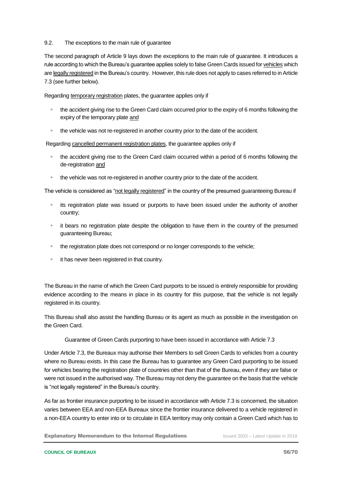#### 9.2. The exceptions to the main rule of guarantee

The second paragraph of Article 9 lays down the exceptions to the main rule of guarantee. It introduces a rule according to which the Bureau's guarantee applies solely to false Green Cards issued for vehicles which are legally registered in the Bureau's country. However, this rule does not apply to cases referred to in Article 7.3 (see further below).

Regarding temporary registration plates, the guarantee applies only if

- the accident giving rise to the Green Card claim occurred prior to the expiry of 6 months following the expiry of the temporary plate and
- the vehicle was not re-registered in another country prior to the date of the accident.

Regarding cancelled permanent registration plates, the guarantee applies only if

- the accident giving rise to the Green Card claim occurred within a period of 6 months following the de-registration and
- the vehicle was not re-registered in another country prior to the date of the accident.

The vehicle is considered as "not legally registered" in the country of the presumed guaranteeing Bureau if

- **EXT** its registration plate was issued or purports to have been issued under the authority of another country;
- it bears no registration plate despite the obligation to have them in the country of the presumed guaranteeing Bureau;
- the registration plate does not correspond or no longer corresponds to the vehicle;
- **it has never been registered in that country.**

The Bureau in the name of which the Green Card purports to be issued is entirely responsible for providing evidence according to the means in place in its country for this purpose, that the vehicle is not legally registered in its country.

This Bureau shall also assist the handling Bureau or its agent as much as possible in the investigation on the Green Card.

#### Guarantee of Green Cards purporting to have been issued in accordance with Article 7.3

Under Article 7.3, the Bureaux may authorise their Members to sell Green Cards to vehicles from a country where no Bureau exists. In this case the Bureau has to guarantee any Green Card purporting to be issued for vehicles bearing the registration plate of countries other than that of the Bureau, even if they are false or were not issued in the authorised way. The Bureau may not deny the guarantee on the basis that the vehicle is "not legally registered" in the Bureau's country.

As far as frontier insurance purporting to be issued in accordance with Article 7.3 is concerned, the situation varies between EEA and non-EEA Bureaux since the frontier insurance delivered to a vehicle registered in a non-EEA country to enter into or to circulate in EEA territory may only contain a Green Card which has to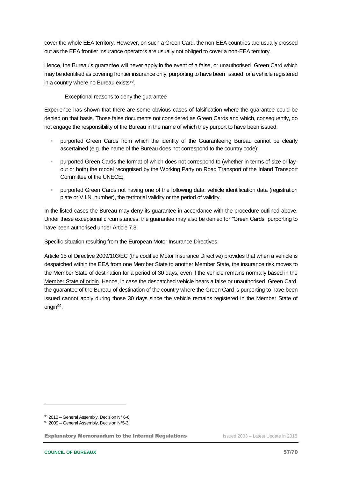cover the whole EEA territory. However, on such a Green Card, the non-EEA countries are usually crossed out as the EEA frontier insurance operators are usually not obliged to cover a non-EEA territory.

Hence, the Bureau's guarantee will never apply in the event of a false, or unauthorised Green Card which may be identified as covering frontier insurance only, purporting to have been issued for a vehicle registered in a country where no Bureau exists<sup>98</sup>.

#### Exceptional reasons to deny the guarantee

Experience has shown that there are some obvious cases of falsification where the guarantee could be denied on that basis. Those false documents not considered as Green Cards and which, consequently, do not engage the responsibility of the Bureau in the name of which they purport to have been issued:

- purported Green Cards from which the identity of the Guaranteeing Bureau cannot be clearly ascertained (e.g. the name of the Bureau does not correspond to the country code);
- purported Green Cards the format of which does not correspond to (whether in terms of size or layout or both) the model recognised by the Working Party on Road Transport of the Inland Transport Committee of the UNECE;
- purported Green Cards not having one of the following data: vehicle identification data (registration plate or V.I.N. number), the territorial validity or the period of validity.

In the listed cases the Bureau may deny its guarantee in accordance with the procedure outlined above. Under these exceptional circumstances, the guarantee may also be denied for *"*Green Cards" purporting to have been authorised under Article 7.3.

Specific situation resulting from the European Motor Insurance Directives

Article 15 of Directive 2009/103/EC (the codified Motor Insurance Directive) provides that when a vehicle is despatched within the EEA from one Member State to another Member State, the insurance risk moves to the Member State of destination for a period of 30 days, even if the vehicle remains normally based in the Member State of origin. Hence, in case the despatched vehicle bears a false or unauthorised Green Card, the guarantee of the Bureau of destination of the country where the Green Card is purporting to have been issued cannot apply during those 30 days since the vehicle remains registered in the Member State of origin<sup>99</sup>.

<sup>98 2010 –</sup> General Assembly, Decision N° 6-6

<sup>99 2009 –</sup> General Assembly, Decision N°5-3

Explanatory Memorandum to the Internal RegulationsIssued 2003 – Latest Update in 2018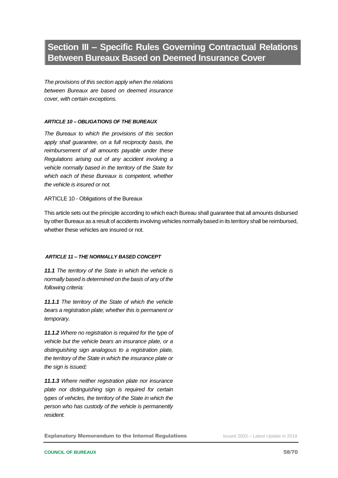### **Section III – Specific Rules Governing Contractual Relations Between Bureaux Based on Deemed Insurance Cover**

*The provisions of this section apply when the relations between Bureaux are based on deemed insurance cover, with certain exceptions.*

#### *ARTICLE 10 – OBLIGATIONS OF THE BUREAUX*

*The Bureaux to which the provisions of this section apply shall guarantee, on a full reciprocity basis, the reimbursement of all amounts payable under these Regulations arising out of any accident involving a vehicle normally based in the territory of the State for which each of these Bureaux is competent, whether the vehicle is insured or not.*

#### ARTICLE 10 - Obligations of the Bureaux

This article sets out the principle according to which each Bureau shall guarantee that all amounts disbursed by other Bureaux as a result of accidents involving vehicles normally based in its territory shall be reimbursed, whether these vehicles are insured or not.

#### *ARTICLE 11 – THE NORMALLY BASED CONCEPT*

*11.1 The territory of the State in which the vehicle is normally based is determined on the basis of any of the following criteria:*

*11.1.1 The territory of the State of which the vehicle bears a registration plate; whether this is permanent or temporary.*

*11.1.2 Where no registration is required for the type of vehicle but the vehicle bears an insurance plate, or a distinguishing sign analogous to a registration plate, the territory of the State in which the insurance plate or the sign is issued;*

*11.1.3 Where neither registration plate nor insurance plate nor distinguishing sign is required for certain types of vehicles, the territory of the State in which the person who has custody of the vehicle is permanently resident.*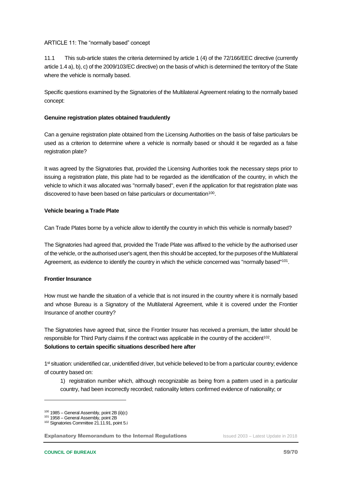#### ARTICLE 11: The "normally based" concept

11.1 This sub-article states the criteria determined by article 1 (4) of the 72/166/EEC directive (currently article 1.4 a), b), c) of the 2009/103/EC directive) on the basis of which is determined the territory of the State where the vehicle is normally based.

Specific questions examined by the Signatories of the Multilateral Agreement relating to the normally based concept:

#### **Genuine registration plates obtained fraudulently**

Can a genuine registration plate obtained from the Licensing Authorities on the basis of false particulars be used as a criterion to determine where a vehicle is normally based or should it be regarded as a false registration plate?

It was agreed by the Signatories that, provided the Licensing Authorities took the necessary steps prior to issuing a registration plate, this plate had to be regarded as the identification of the country, in which the vehicle to which it was allocated was "normally based", even if the application for that registration plate was discovered to have been based on false particulars or documentation<sup>100</sup>.

#### **Vehicle bearing a Trade Plate**

Can Trade Plates borne by a vehicle allow to identify the country in which this vehicle is normally based?

The Signatories had agreed that, provided the Trade Plate was affixed to the vehicle by the authorised user of the vehicle, or the authorised user's agent, then this should be accepted, for the purposes of the Multilateral Agreement, as evidence to identify the country in which the vehicle concerned was "normally based"<sup>101</sup>.

#### **Frontier Insurance**

How must we handle the situation of a vehicle that is not insured in the country where it is normally based and whose Bureau is a Signatory of the Multilateral Agreement, while it is covered under the Frontier Insurance of another country?

The Signatories have agreed that, since the Frontier Insurer has received a premium, the latter should be responsible for Third Party claims if the contract was applicable in the country of the accident<sup>102</sup>. **Solutions to certain specific situations described here after**

1<sup>st</sup> situation: unidentified car, unidentified driver, but vehicle believed to be from a particular country; evidence of country based on:

1) registration number which, although recognizable as being from a pattern used in a particular country, had been incorrectly recorded; nationality letters confirmed evidence of nationality; or

 $100$  1985 – General Assembly, point 2B (ii)(c)

<sup>101</sup> 1958 – General Assembly, point 2B

<sup>102</sup> Signatories Committee 21.11.91, point 5.i

Explanatory Memorandum to the Internal RegulationsIssued 2003 – Latest Update in 2018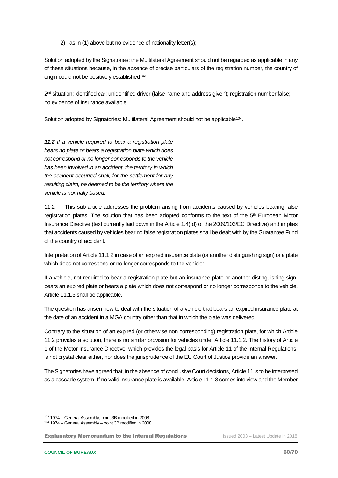#### 2) as in (1) above but no evidence of nationality letter(s);

Solution adopted by the Signatories: the Multilateral Agreement should not be regarded as applicable in any of these situations because, in the absence of precise particulars of the registration number, the country of origin could not be positively established<sup>103</sup>.

2<sup>nd</sup> situation: identified car; unidentified driver (false name and address given); registration number false; no evidence of insurance available.

Solution adopted by Signatories: Multilateral Agreement should not be applicable<sup>104</sup>.

*11.2 If a vehicle required to bear a registration plate bears no plate or bears a registration plate which does not correspond or no longer corresponds to the vehicle has been involved in an accident, the territory in which the accident occurred shall, for the settlement for any resulting claim, be deemed to be the territory where the vehicle is normally based.*

11.2 This sub-article addresses the problem arising from accidents caused by vehicles bearing false registration plates. The solution that has been adopted conforms to the text of the 5<sup>th</sup> European Motor Insurance Directive (text currently laid down in the Article 1.4) d) of the 2009/103/EC Directive) and implies that accidents caused by vehicles bearing false registration plates shall be dealt with by the Guarantee Fund of the country of accident.

Interpretation of Article 11.1.2 in case of an expired insurance plate (or another distinguishing sign) or a plate which does not correspond or no longer corresponds to the vehicle:

If a vehicle, not required to bear a registration plate but an insurance plate or another distinguishing sign, bears an expired plate or bears a plate which does not correspond or no longer corresponds to the vehicle, Article 11.1.3 shall be applicable.

The question has arisen how to deal with the situation of a vehicle that bears an expired insurance plate at the date of an accident in a MGA country other than that in which the plate was delivered.

Contrary to the situation of an expired (or otherwise non corresponding) registration plate, for which Article 11.2 provides a solution, there is no similar provision for vehicles under Article 11.1.2. The history of Article 1 of the Motor Insurance Directive, which provides the legal basis for Article 11 of the Internal Regulations, is not crystal clear either, nor does the jurisprudence of the EU Court of Justice provide an answer.

The Signatories have agreed that, in the absence of conclusive Court decisions, Article 11 is to be interpreted as a cascade system. If no valid insurance plate is available, Article 11.1.3 comes into view and the Member

<sup>103</sup> 1974 – General Assembly, point 3B modified in 2008

<sup>104</sup> 1974 – General Assembly – point 3B modified in 2008

**Explanatory Memorandum to the Internal Regulations ISSUED 1888 ISSUED 1888 1889 1889 ISSUED 1889 1889 1899 1899**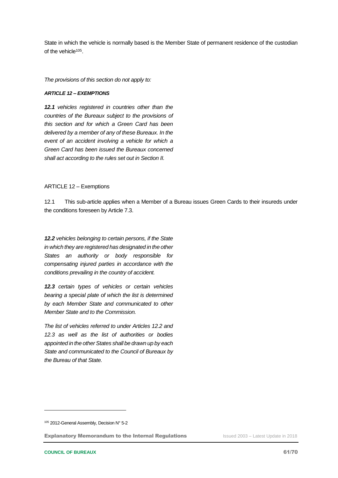State in which the vehicle is normally based is the Member State of permanent residence of the custodian of the vehicle<sup>105</sup>.

*The provisions of this section do not apply to:*

#### *ARTICLE 12 – EXEMPTIONS*

*12.1 vehicles registered in countries other than the countries of the Bureaux subject to the provisions of this section and for which a Green Card has been delivered by a member of any of these Bureaux. In the event of an accident involving a vehicle for which a Green Card has been issued the Bureaux concerned shall act according to the rules set out in Section II.*

#### ARTICLE 12 – Exemptions

12.1 This sub-article applies when a Member of a Bureau issues Green Cards to their insureds under the conditions foreseen by Article 7.3.

*12.2 vehicles belonging to certain persons, if the State in which they are registered has designated in the other States an authority or body responsible for compensating injured parties in accordance with the conditions prevailing in the country of accident.*

*12.3 certain types of vehicles or certain vehicles bearing a special plate of which the list is determined by each Member State and communicated to other Member State and to the Commission.*

*The list of vehicles referred to under Articles 12.2 and 12.3 as well as the list of authorities or bodies appointed in the other States shall be drawn up by each State and communicated to the Council of Bureaux by the Bureau of that State.*

Explanatory Memorandum to the Internal RegulationsIssued 2003 – Latest Update in 2018

<sup>105 2012-</sup>General Assembly, Decision N° 5-2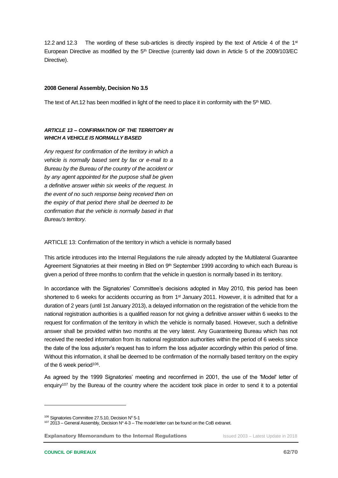12.2 and 12.3 The wording of these sub-articles is directly inspired by the text of Article 4 of the 1<sup>st</sup> European Directive as modified by the 5<sup>th</sup> Directive (currently laid down in Article 5 of the 2009/103/EC Directive).

#### **2008 General Assembly, Decision No 3.5**

The text of Art.12 has been modified in light of the need to place it in conformity with the 5<sup>th</sup> MID.

#### *ARTICLE 13 – CONFIRMATION OF THE TERRITORY IN WHICH A VEHICLE IS NORMALLY BASED*

*Any request for confirmation of the territory in which a vehicle is normally based sent by fax or e-mail to a Bureau by the Bureau of the country of the accident or by any agent appointed for the purpose shall be given a definitive answer within six weeks of the request. In the event of no such response being received then on the expiry of that period there shall be deemed to be confirmation that the vehicle is normally based in that Bureau's territory.* 

ARTICLE 13: Confirmation of the territory in which a vehicle is normally based

This article introduces into the Internal Regulations the rule already adopted by the Multilateral Guarantee Agreement Signatories at their meeting in Bled on 9<sup>th</sup> September 1999 according to which each Bureau is given a period of three months to confirm that the vehicle in question is normally based in its territory.

In accordance with the Signatories' Committee's decisions adopted in May 2010, this period has been shortened to 6 weeks for accidents occurring as from 1<sup>st</sup> January 2011. However, it is admitted that for a duration of 2 years (until 1st January 2013), a delayed information on the registration of the vehicle from the national registration authorities is a qualified reason for not giving a definitive answer within 6 weeks to the request for confirmation of the territory in which the vehicle is normally based. However, such a definitive answer shall be provided within two months at the very latest. Any Guaranteeing Bureau which has not received the needed information from its national registration authorities within the period of 6 weeks since the date of the loss adjuster's request has to inform the loss adjuster accordingly within this period of time. Without this information, it shall be deemed to be confirmation of the normally based territory on the expiry of the 6 week period<sup>106</sup>.

As agreed by the 1999 Signatories' meeting and reconfirmed in 2001, the use of the 'Model' letter of enquiry<sup>107</sup> by the Bureau of the country where the accident took place in order to send it to a potential

**Explanatory Memorandum to the Internal Regulations Issued 2003 – Latest Update in 2018** 

<sup>106</sup> Signatories Committee 27.5.10, Decision Nº 5-1

 $107$  2013 – General Assembly, Decision N° 4-3 – The model letter can be found on the CoB extranet.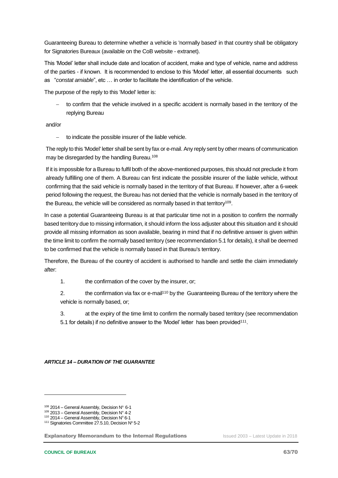Guaranteeing Bureau to determine whether a vehicle is 'normally based' in that country shall be obligatory for Signatories Bureaux (available on the CoB website - extranet).

This 'Model' letter shall include date and location of accident, make and type of vehicle, name and address of the parties - if known. It is recommended to enclose to this 'Model' letter, all essential documents such as "*constat amiable*", etc … in order to facilitate the identification of the vehicle.

The purpose of the reply to this 'Model' letter is:

 to confirm that the vehicle involved in a specific accident is normally based in the territory of the replying Bureau

#### and/or

to indicate the possible insurer of the liable vehicle.

The reply to this 'Model' letter shall be sent by fax or e-mail. Any reply sent by other means of communication may be disregarded by the handling Bureau.<sup>108</sup>

If it is impossible for a Bureau to fulfil both of the above-mentioned purposes, this should not preclude it from already fulfilling one of them. A Bureau can first indicate the possible insurer of the liable vehicle, without confirming that the said vehicle is normally based in the territory of that Bureau. If however, after a 6-week period following the request, the Bureau has not denied that the vehicle is normally based in the territory of the Bureau, the vehicle will be considered as normally based in that territory<sup>109</sup>.

In case a potential Guaranteeing Bureau is at that particular time not in a position to confirm the normally based territory due to missing information, it should inform the loss adjuster about this situation and it should provide all missing information as soon available, bearing in mind that if no definitive answer is given within the time limit to confirm the normally based territory (see recommendation 5.1 for details), it shall be deemed to be confirmed that the vehicle is normally based in that Bureau's territory.

Therefore, the Bureau of the country of accident is authorised to handle and settle the claim immediately after:

1. the confirmation of the cover by the insurer, or;

2. the confirmation via fax or e-mail<sup>110</sup> by the Guaranteeing Bureau of the territory where the vehicle is normally based, or;

3. at the expiry of the time limit to confirm the normally based territory (see recommendation 5.1 for details) if no definitive answer to the 'Model' letter has been provided<sup>111</sup>.

#### *ARTICLE 14 – DURATION OF THE GUARANTEE*

**Explanatory Memorandum to the Internal Regulations Issued 2003** – Latest Update in 2018

 $108$  2014 – General Assembly, Decision N° 6-1

<sup>109</sup> 2013 – General Assembly, Decision N° 4-2

 $110$  2014 – General Assembly, Decision  $N^{\circ}$  6-1

<sup>111</sup> Signatories Committee 27.5.10, Decision Nº 5-2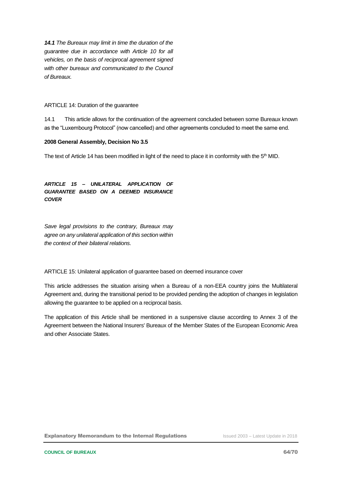*14.1 The Bureaux may limit in time the duration of the guarantee due in accordance with Article 10 for all vehicles, on the basis of reciprocal agreement signed with other bureaux and communicated to the Council of Bureaux.*

#### ARTICLE 14: Duration of the guarantee

14.1 This article allows for the continuation of the agreement concluded between some Bureaux known as the "Luxembourg Protocol" (now cancelled) and other agreements concluded to meet the same end.

#### **2008 General Assembly, Decision No 3.5**

The text of Article 14 has been modified in light of the need to place it in conformity with the 5<sup>th</sup> MID.

*ARTICLE 15 – UNILATERAL APPLICATION OF GUARANTEE BASED ON A DEEMED INSURANCE COVER* 

*Save legal provisions to the contrary, Bureaux may agree on any unilateral application of this section within the context of their bilateral relations.*

ARTICLE 15: Unilateral application of guarantee based on deemed insurance cover

This article addresses the situation arising when a Bureau of a non-EEA country joins the Multilateral Agreement and, during the transitional period to be provided pending the adoption of changes in legislation allowing the guarantee to be applied on a reciprocal basis.

The application of this Article shall be mentioned in a suspensive clause according to Annex 3 of the Agreement between the National Insurers' Bureaux of the Member States of the European Economic Area and other Associate States.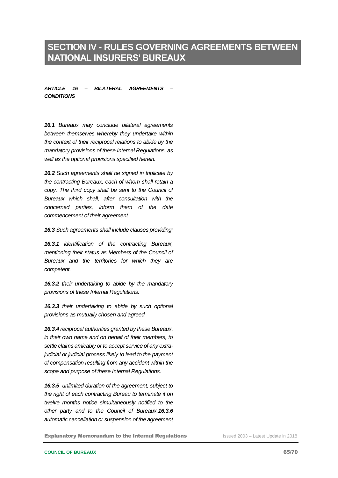*ARTICLE 16 – BILATERAL AGREEMENTS – CONDITIONS*

*16.1 Bureaux may conclude bilateral agreements between themselves whereby they undertake within the context of their reciprocal relations to abide by the mandatory provisions of these Internal Regulations, as well as the optional provisions specified herein.* 

*16.2 Such agreements shall be signed in triplicate by the contracting Bureaux, each of whom shall retain a copy. The third copy shall be sent to the Council of Bureaux which shall, after consultation with the concerned parties, inform them of the date commencement of their agreement.*

*16.3 Such agreements shall include clauses providing:*

*16.3.1 identification of the contracting Bureaux, mentioning their status as Members of the Council of Bureaux and the territories for which they are competent.*

*16.3.2 their undertaking to abide by the mandatory provisions of these Internal Regulations.*

*16.3.3 their undertaking to abide by such optional provisions as mutually chosen and agreed.*

*16.3.4 reciprocal authorities granted by these Bureaux, in their own name and on behalf of their members, to settle claims amicably or to accept service of any extrajudicial or judicial process likely to lead to the payment of compensation resulting from any accident within the scope and purpose of these Internal Regulations.* 

*16.3.5 unlimited duration of the agreement, subject to the right of each contracting Bureau to terminate it on twelve months notice simultaneously notified to the other party and to the Council of Bureaux.16.3.6 automatic cancellation or suspension of the agreement*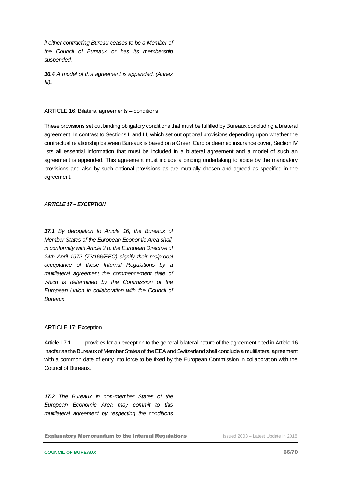*if either contracting Bureau ceases to be a Member of the Council of Bureaux or has its membership suspended.*

*16.4 A model of this agreement is appended. (Annex III).*

#### ARTICLE 16: Bilateral agreements – conditions

These provisions set out binding obligatory conditions that must be fulfilled by Bureaux concluding a bilateral agreement. In contrast to Sections II and III, which set out optional provisions depending upon whether the contractual relationship between Bureaux is based on a Green Card or deemed insurance cover, Section IV lists all essential information that must be included in a bilateral agreement and a model of such an agreement is appended. This agreement must include a binding undertaking to abide by the mandatory provisions and also by such optional provisions as are mutually chosen and agreed as specified in the agreement.

#### *ARTICLE 17 – EXCEPTION*

*17.1 By derogation to Article 16, the Bureaux of Member States of the European Economic Area shall, in conformity with Article 2 of the European Directive of 24th April 1972 (72/166/EEC) signify their reciprocal acceptance of these Internal Regulations by a multilateral agreement the commencement date of which is determined by the Commission of the European Union in collaboration with the Council of Bureaux.*

#### ARTICLE 17: Exception

Article 17.1 provides for an exception to the general bilateral nature of the agreement cited in Article 16 insofar as the Bureaux of Member States of the EEA and Switzerland shall conclude a multilateral agreement with a common date of entry into force to be fixed by the European Commission in collaboration with the Council of Bureaux.

*17.2 The Bureaux in non-member States of the European Economic Area may commit to this multilateral agreement by respecting the conditions*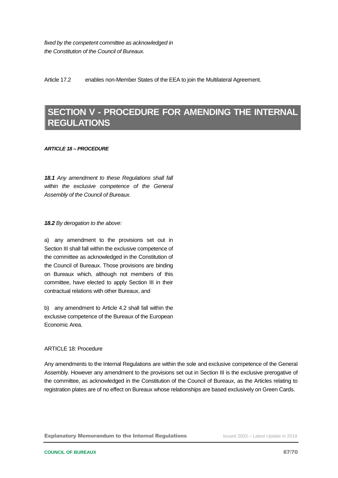Article 17.2 enables non-Member States of the EEA to join the Multilateral Agreement.

### **SECTION V - PROCEDURE FOR AMENDING THE INTERNAL REGULATIONS**

#### *ARTICLE 18 – PROCEDURE*

*18.1 Any amendment to these Regulations shall fall within the exclusive competence of the General Assembly of the Council of Bureaux.*

#### *18.2 By derogation to the above:*

a) any amendment to the provisions set out in Section III shall fall within the exclusive competence of the committee as acknowledged in the Constitution of the Council of Bureaux. Those provisions are binding on Bureaux which, although not members of this committee, have elected to apply Section III in their contractual relations with other Bureaux, and

b) any amendment to Article 4.2 shall fall within the exclusive competence of the Bureaux of the European Economic Area.

#### ARTICLE 18: Procedure

Any amendments to the Internal Regulations are within the sole and exclusive competence of the General Assembly. However any amendment to the provisions set out in Section III is the exclusive prerogative of the committee, as acknowledged in the Constitution of the Council of Bureaux, as the Articles relating to registration plates are of no effect on Bureaux whose relationships are based exclusively on Green Cards.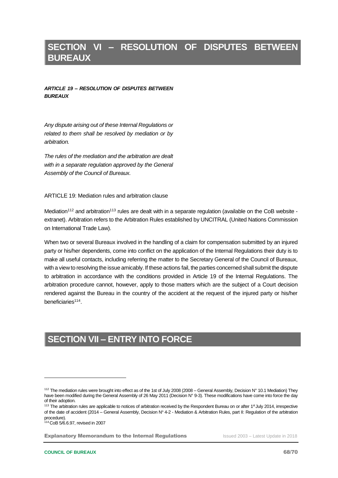## **SECTION VI – RESOLUTION OF DISPUTES BETWEEN BUREAUX**

#### *ARTICLE 19 – RESOLUTION OF DISPUTES BETWEEN BUREAUX*

*Any dispute arising out of these Internal Regulations or related to them shall be resolved by mediation or by arbitration.* 

*The rules of the mediation and the arbitration are dealt with in a separate regulation approved by the General Assembly of the Council of Bureaux.*

#### ARTICLE 19: Mediation rules and arbitration clause

Mediation<sup>112</sup> and arbitration<sup>113</sup> rules are dealt with in a separate regulation (available on the CoB website extranet). Arbitration refers to the Arbitration Rules established by UNCITRAL (United Nations Commission on International Trade Law).

When two or several Bureaux involved in the handling of a claim for compensation submitted by an injured party or his/her dependents, come into conflict on the application of the Internal Regulations their duty is to make all useful contacts, including referring the matter to the Secretary General of the Council of Bureaux, with a view to resolving the issue amicably. If these actions fail, the parties concerned shall submit the dispute to arbitration in accordance with the conditions provided in Article 19 of the Internal Regulations. The arbitration procedure cannot, however, apply to those matters which are the subject of a Court decision rendered against the Bureau in the country of the accident at the request of the injured party or his/her beneficiaries<sup>114</sup>.

### **SECTION VII – ENTRY INTO FORCE**

1

**Explanatory Memorandum to the Internal Regulations ISSUED 15 ISSUED 15 2018 ISSUED 16 2018** 

<sup>&</sup>lt;sup>112</sup> The mediation rules were brought into effect as of the 1st of July 2008 (2008 – General Assembly, Decision N° 10.1 Mediation) They have been modified during the General Assembly of 26 May 2011 (Decision N° 9-3). These modifications have come into force the day of their adoption.

 $113$  The arbitration rules are applicable to notices of arbitration received by the Respondent Bureau on or after  $1<sup>st</sup>$  July 2014, irrespective of the date of accident (2014 – General Assembly, Decision Nº 4-2 - Mediation & Arbitration Rules, part II: Regulation of the arbitration procedure).

<sup>114</sup>CoB 5/6.6.97, revised in 2007